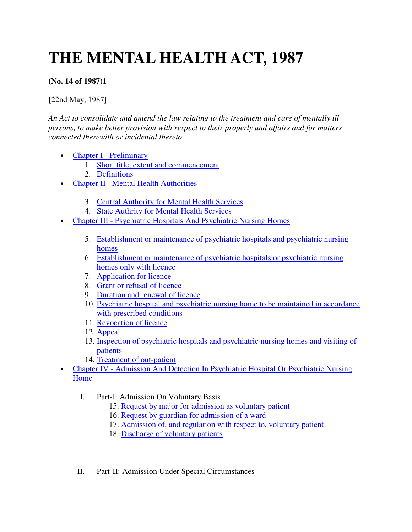# **THE MENTAL HEALTH ACT, 1987**

# **(No. 14 of 1987)1**

[22nd May, 1987]

*An Act to consolidate and amend the law relating to the treatment and care of mentally ill persons, to make better provision with respect to their properly and affairs and for matters connected therewith or incidental thereto*.

- Chapter I Preliminary
	- 1. Short title, extent and commencement
	- 2. Definitions
- Chapter II Mental Health Authorities
	- 3. Central Authority for Mental Health Services
	- 4. State Authrity for Mental Health Services
- Chapter III Psychiatric Hospitals And Psychiatric Nursing Homes
	- 5. Establishment or maintenance of psychiatric hospitals and psychiatric nursing homes
	- 6. Establishment or maintenance of psychiatric hospitals or psychiatric nursing homes only with licence
	- 7. Application for licence
	- 8. Grant or refusal of licence
	- 9. Duration and renewal of licence
	- 10. Psychiatric hospital and psychiatric nursing home to be maintained in accordance with prescribed conditions
	- 11. Revocation of licence
	- 12. Appeal
	- 13. Inspection of psychiatric hospitals and psychiatric nursing homes and visiting of patients
	- 14. Treatment of out-patient
- Chapter IV Admission And Detection In Psychiatric Hospital Or Psychiatric Nursing Home
	- I. Part-I: Admission On Voluntary Basis
		- 15. Request by major for admission as voluntary patient
		- 16. Request by guardian for admission of a ward
		- 17. Admission of, and regulation with respect to, voluntary patient
		- 18. Discharge of voluntary patients
	- II. Part-II: Admission Under Special Circumstances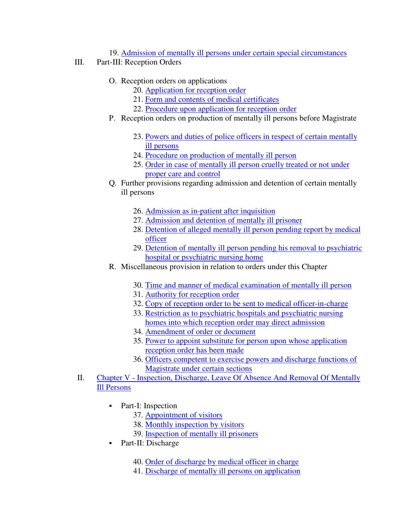19. Admission of mentally ill persons under certain special circumstances

- III. Part-III: Reception Orders
	- O. Reception orders on applications
		- 20. Application for reception order
		- 21. Form and contents of medical certificates
		- 22. Procedure upon application for reception order
	- P. Reception orders on production of mentally ill persons before Magistrate
		- 23. Powers and duties of police officers in respect of certain mentally ill persons
		- 24. Procedure on production of mentally ill person
		- 25. Order in case of mentally ill person cruelly treated or not under proper care and control
	- Q. Further provisions regarding admission and detention of certain mentally ill persons
		- 26. Admission as in-patient after inquisition
		- 27. Admission and detention of mentally ill prisoner
		- 28. Detention of alleged mentally ill person pending report by medical officer
		- 29. Detention of mentally ill person pending his removal to psychiatric hospital or psychiatric nursing home
	- R. Miscellaneous provision in relation to orders under this Chapter
		- 30. Time and manner of medical examination of mentally ill person
		- 31. Authority for reception order
		- 32. Copy of reception order to be sent to medical officer-in-charge
		- 33. Restriction as to psychiatric hospitals and psychiatric nursing homes into which reception order may direct admission
		- 34. Amendment of order or document
		- 35. Power to appoint substitute for person upon whose application reception order has been made
		- 36. Officers competent to exercise powers and discharge functions of Magistrate under certain sections
- II. Chapter V Inspection, Discharge, Leave Of Absence And Removal Of Mentally Ill Persons
	- Part-I: Inspection
		- 37. Appointment of visitors
		- 38. Monthly inspection by visitors
		- 39. Inspection of mentally ill prisoners
	- Part-II: Discharge
		- 40. Order of discharge by medical officer in charge
		- 41. Discharge of mentally ill persons on application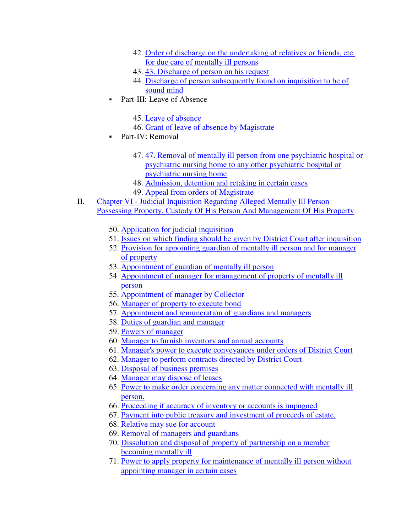- 42. Order of discharge on the undertaking of relatives or friends, etc. for due care of mentally ill persons
- 43. 43. Discharge of person on his request
- 44. Discharge of person subsequently found on inquisition to be of sound mind
- Part-III: Leave of Absence
	- 45. Leave of absence
	- 46. Grant of leave of absence by Magistrate
- Part-IV: Removal
	- 47. 47. Removal of mentally ill person from one psychiatric hospital or psychiatric nursing home to any other psychiatric hospital or psychiatric nursing home
	- 48. Admission, detention and retaking in certain cases
	- 49. Appeal from orders of Magistrate
- II. Chapter VI Judicial Inquisition Regarding Alleged Mentally Ill Person Possessing Property, Custody Of His Person And Management Of His Property
	- 50. Application for judicial inquisition
	- 51. Issues on which finding should be given by District Court after inquisition
	- 52. Provision for appointing guardian of mentally ill person and for manager of property
	- 53. Appointment of guardian of mentally ill person
	- 54. Appointment of manager for management of property of mentally ill person
	- 55. Appointment of manager by Collector
	- 56. Manager of property to execute bond
	- 57. Appointment and remuneration of guardians and managers
	- 58. Duties of guardian and manager
	- 59. Powers of manager
	- 60. Manager to furnish inventory and annual accounts
	- 61. Manager's power to execute conveyances under orders of District Court
	- 62. Manager to perform contracts directed by District Court
	- 63. Disposal of business premises
	- 64. Manager may dispose of leases
	- 65. Power to make order concerning any matter connected with mentally ill person.
	- 66. Proceeding if accuracy of inventory or accounts is impugned
	- 67. Payment into public treasury and investment of proceeds of estate.
	- 68. Relative may sue for account
	- 69. Removal of managers and guardians
	- 70. Dissolution and disposal of property of partnership on a member becoming mentally ill
	- 71. Power to apply property for maintenance of mentally ill person without appointing manager in certain cases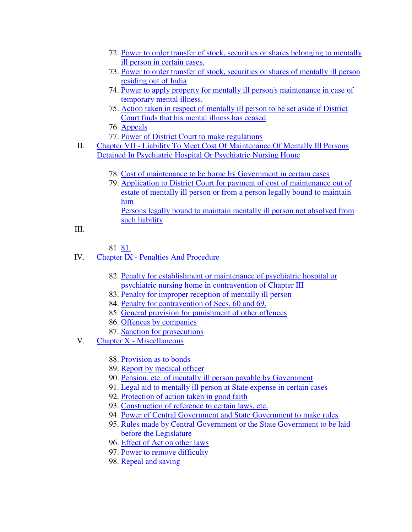- 72. Power to order transfer of stock, securities or shares belonging to mentally ill person in certain cases.
- 73. Power to order transfer of stock, securities or shares of mentally ill person residing out of India
- 74. Power to apply property for mentally ill person's maintenance in case of temporary mental illness.
- 75. Action taken in respect of mentally ill person to be set aside if District Court finds that his mental illness has ceased
- 76. Appeals
- 77. Power of District Court to make regulations
- II. Chapter VII Liability To Meet Cost Of Maintenance Of Mentally Ill Persons Detained In Psychiatric Hospital Or Psychiatric Nursing Home
	- 78. Cost of maintenance to be borne by Government in certain cases
	- 79. Application to District Court for payment of cost of maintenance out of estate of mentally ill person or from a person legally bound to maintain him Persons legally bound to maintain mentally ill person not absolved from such liability

```
III.
```
81. 81.

- IV. Chapter IX Penalties And Procedure
	- 82. Penalty for establishment or maintenance of psychiatric hospital or psychiatric nursing home in contravention of Chapter III
	- 83. Penalty for improper reception of mentally ill person
	- 84. Penalty for contravention of Secs. 60 and 69.
	- 85. General provision for punishment of other offences
	- 86. Offences by companies
	- 87. Sanction for prosecutions
- V. Chapter X Miscellaneous
	- 88. Provision as to bonds
	- 89. Report by medical officer
	- 90. Pension, etc. of mentally ill person payable by Government
	- 91. Legal aid to mentally ill person at State expense in certain cases
	- 92. Protection of action taken in good faith
	- 93. Construction of reference to certain laws, etc.
	- 94. Power of Central Government and State Government to make rules
	- 95. Rules made by Central Government or the State Government to be laid before the Legislature
	- 96. Effect of Act on other laws
	- 97. Power to remove difficulty
	- 98. Repeal and saving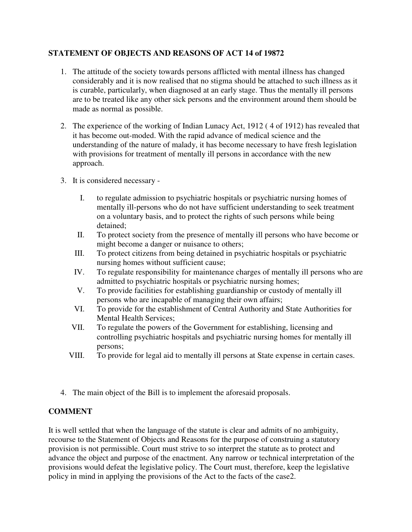# **STATEMENT OF OBJECTS AND REASONS OF ACT 14 of 19872**

- 1. The attitude of the society towards persons afflicted with mental illness has changed considerably and it is now realised that no stigma should be attached to such illness as it is curable, particularly, when diagnosed at an early stage. Thus the mentally ill persons are to be treated like any other sick persons and the environment around them should be made as normal as possible.
- 2. The experience of the working of Indian Lunacy Act, 1912 ( 4 of 1912) has revealed that it has become out-moded. With the rapid advance of medical science and the understanding of the nature of malady, it has become necessary to have fresh legislation with provisions for treatment of mentally ill persons in accordance with the new approach.
- 3. It is considered necessary
	- I. to regulate admission to psychiatric hospitals or psychiatric nursing homes of mentally ill-persons who do not have sufficient understanding to seek treatment on a voluntary basis, and to protect the rights of such persons while being detained;
	- II. To protect society from the presence of mentally ill persons who have become or might become a danger or nuisance to others;
	- III. To protect citizens from being detained in psychiatric hospitals or psychiatric nursing homes without sufficient cause;
	- IV. To regulate responsibility for maintenance charges of mentally ill persons who are admitted to psychiatric hospitals or psychiatric nursing homes;
	- V. To provide facilities for establishing guardianship or custody of mentally ill persons who are incapable of managing their own affairs;
	- VI. To provide for the establishment of Central Authority and State Authorities for Mental Health Services;
	- VII. To regulate the powers of the Government for establishing, licensing and controlling psychiatric hospitals and psychiatric nursing homes for mentally ill persons;
	- VIII. To provide for legal aid to mentally ill persons at State expense in certain cases.
- 4. The main object of the Bill is to implement the aforesaid proposals.

# **COMMENT**

It is well settled that when the language of the statute is clear and admits of no ambiguity, recourse to the Statement of Objects and Reasons for the purpose of construing a statutory provision is not permissible. Court must strive to so interpret the statute as to protect and advance the object and purpose of the enactment. Any narrow or technical interpretation of the provisions would defeat the legislative policy. The Court must, therefore, keep the legislative policy in mind in applying the provisions of the Act to the facts of the case2.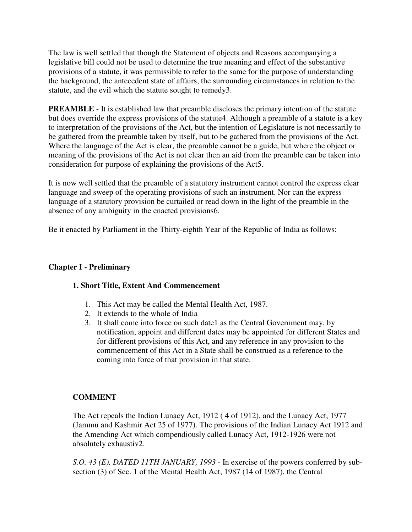The law is well settled that though the Statement of objects and Reasons accompanying a legislative bill could not be used to determine the true meaning and effect of the substantive provisions of a statute, it was permissible to refer to the same for the purpose of understanding the background, the antecedent state of affairs, the surrounding circumstances in relation to the statute, and the evil which the statute sought to remedy3.

**PREAMBLE** - It is established law that preamble discloses the primary intention of the statute but does override the express provisions of the statute4. Although a preamble of a statute is a key to interpretation of the provisions of the Act, but the intention of Legislature is not necessarily to be gathered from the preamble taken by itself, but to be gathered from the provisions of the Act. Where the language of the Act is clear, the preamble cannot be a guide, but where the object or meaning of the provisions of the Act is not clear then an aid from the preamble can be taken into consideration for purpose of explaining the provisions of the Act5.

It is now well settled that the preamble of a statutory instrument cannot control the express clear language and sweep of the operating provisions of such an instrument. Nor can the express language of a statutory provision be curtailed or read down in the light of the preamble in the absence of any ambiguity in the enacted provisions6.

Be it enacted by Parliament in the Thirty-eighth Year of the Republic of India as follows:

# **Chapter I - Preliminary**

# **1. Short Title, Extent And Commencement**

- 1. This Act may be called the Mental Health Act, 1987.
- 2. It extends to the whole of India
- 3. It shall come into force on such date1 as the Central Government may, by notification, appoint and different dates may be appointed for different States and for different provisions of this Act, and any reference in any provision to the commencement of this Act in a State shall be construed as a reference to the coming into force of that provision in that state.

# **COMMENT**

The Act repeals the Indian Lunacy Act, 1912 ( 4 of 1912), and the Lunacy Act, 1977 (Jammu and Kashmir Act 25 of 1977). The provisions of the Indian Lunacy Act 1912 and the Amending Act which compendiously called Lunacy Act, 1912-1926 were not absolutely exhaustiv2.

*S.O. 43 (E), DATED 11TH JANUARY, 1993* - In exercise of the powers conferred by subsection (3) of Sec. 1 of the Mental Health Act, 1987 (14 of 1987), the Central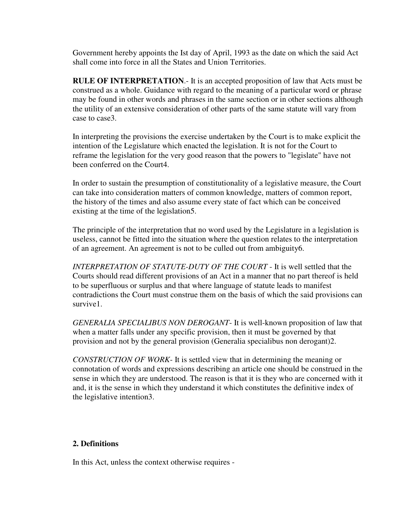Government hereby appoints the Ist day of April, 1993 as the date on which the said Act shall come into force in all the States and Union Territories.

**RULE OF INTERPRETATION**.- It is an accepted proposition of law that Acts must be construed as a whole. Guidance with regard to the meaning of a particular word or phrase may be found in other words and phrases in the same section or in other sections although the utility of an extensive consideration of other parts of the same statute will vary from case to case3.

In interpreting the provisions the exercise undertaken by the Court is to make explicit the intention of the Legislature which enacted the legislation. It is not for the Court to reframe the legislation for the very good reason that the powers to "legislate" have not been conferred on the Court4.

In order to sustain the presumption of constitutionality of a legislative measure, the Court can take into consideration matters of common knowledge, matters of common report, the history of the times and also assume every state of fact which can be conceived existing at the time of the legislation5.

The principle of the interpretation that no word used by the Legislature in a legislation is useless, cannot be fitted into the situation where the question relates to the interpretation of an agreement. An agreement is not to be culled out from ambiguity6.

*INTERPRETATION OF STATUTE-DUTY OF THE COURT* - It is well settled that the Courts should read different provisions of an Act in a manner that no part thereof is held to be superfluous or surplus and that where language of statute leads to manifest contradictions the Court must construe them on the basis of which the said provisions can survive1.

*GENERALIA SPECIALIBUS NON DEROGANT*- It is well-known proposition of law that when a matter falls under any specific provision, then it must be governed by that provision and not by the general provision (Generalia specialibus non derogant)2.

*CONSTRUCTION OF WORK*- It is settled view that in determining the meaning or connotation of words and expressions describing an article one should be construed in the sense in which they are understood. The reason is that it is they who are concerned with it and, it is the sense in which they understand it which constitutes the definitive index of the legislative intention3.

## **2. Definitions**

In this Act, unless the context otherwise requires -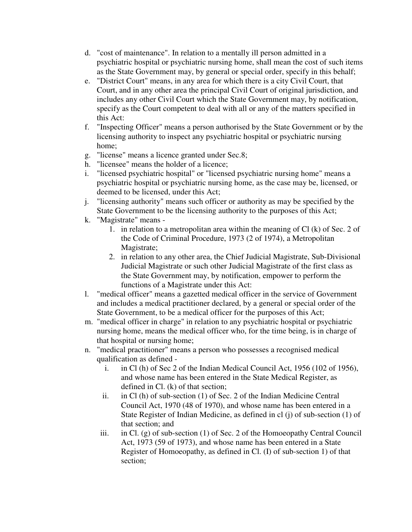- d. "cost of maintenance". In relation to a mentally ill person admitted in a psychiatric hospital or psychiatric nursing home, shall mean the cost of such items as the State Government may, by general or special order, specify in this behalf;
- e. "District Court" means, in any area for which there is a city Civil Court, that Court, and in any other area the principal Civil Court of original jurisdiction, and includes any other Civil Court which the State Government may, by notification, specify as the Court competent to deal with all or any of the matters specified in this Act:
- f. "Inspecting Officer" means a person authorised by the State Government or by the licensing authority to inspect any psychiatric hospital or psychiatric nursing home;
- g. "license" means a licence granted under Sec.8;
- h. "licensee" means the holder of a licence;
- i. "licensed psychiatric hospital" or "licensed psychiatric nursing home" means a psychiatric hospital or psychiatric nursing home, as the case may be, licensed, or deemed to be licensed, under this Act;
- j. "licensing authority" means such officer or authority as may be specified by the State Government to be the licensing authority to the purposes of this Act;
- k. "Magistrate" means
	- 1. in relation to a metropolitan area within the meaning of Cl (k) of Sec. 2 of the Code of Criminal Procedure, 1973 (2 of 1974), a Metropolitan Magistrate;
	- 2. in relation to any other area, the Chief Judicial Magistrate, Sub-Divisional Judicial Magistrate or such other Judicial Magistrate of the first class as the State Government may, by notification, empower to perform the functions of a Magistrate under this Act:
- l. "medical officer" means a gazetted medical officer in the service of Government and includes a medical practitioner declared, by a general or special order of the State Government, to be a medical officer for the purposes of this Act;
- m. "medical officer in charge" in relation to any psychiatric hospital or psychiatric nursing home, means the medical officer who, for the time being, is in charge of that hospital or nursing home;
- n. "medical practitioner" means a person who possesses a recognised medical qualification as defined
	- i. in Cl (h) of Sec 2 of the Indian Medical Council Act, 1956 (102 of 1956), and whose name has been entered in the State Medical Register, as defined in Cl. (k) of that section;
	- ii. in Cl (h) of sub-section (1) of Sec. 2 of the Indian Medicine Central Council Act, 1970 (48 of 1970), and whose name has been entered in a State Register of Indian Medicine, as defined in cl (j) of sub-section (1) of that section; and
	- iii. in Cl. (g) of sub-section (1) of Sec. 2 of the Homoeopathy Central Council Act, 1973 (59 of 1973), and whose name has been entered in a State Register of Homoeopathy, as defined in Cl. (I) of sub-section 1) of that section;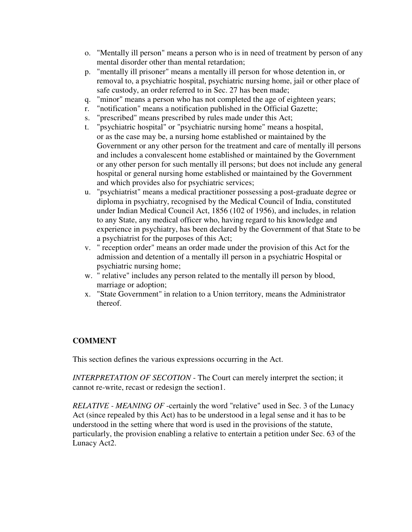- o. "Mentally ill person" means a person who is in need of treatment by person of any mental disorder other than mental retardation;
- p. "mentally ill prisoner" means a mentally ill person for whose detention in, or removal to, a psychiatric hospital, psychiatric nursing home, jail or other place of safe custody, an order referred to in Sec. 27 has been made;
- q. "minor" means a person who has not completed the age of eighteen years;
- r. "notification" means a notification published in the Official Gazette;
- s. "prescribed" means prescribed by rules made under this Act;
- t. "psychiatric hospital" or "psychiatric nursing home" means a hospital, or as the case may be, a nursing home established or maintained by the Government or any other person for the treatment and care of mentally ill persons and includes a convalescent home established or maintained by the Government or any other person for such mentally ill persons; but does not include any general hospital or general nursing home established or maintained by the Government and which provides also for psychiatric services;
- u. "psychiatrist" means a medical practitioner possessing a post-graduate degree or diploma in psychiatry, recognised by the Medical Council of India, constituted under Indian Medical Council Act, 1856 (102 of 1956), and includes, in relation to any State, any medical officer who, having regard to his knowledge and experience in psychiatry, has been declared by the Government of that State to be a psychiatrist for the purposes of this Act;
- v. " reception order" means an order made under the provision of this Act for the admission and detention of a mentally ill person in a psychiatric Hospital or psychiatric nursing home;
- w. " relative" includes any person related to the mentally ill person by blood, marriage or adoption;
- x. "State Government" in relation to a Union territory, means the Administrator thereof.

# **COMMENT**

This section defines the various expressions occurring in the Act.

*INTERPRETATION OF SECOTION* - The Court can merely interpret the section; it cannot re-write, recast or redesign the section1.

*RELATIVE - MEANING OF* -certainly the word "relative" used in Sec. 3 of the Lunacy Act (since repealed by this Act) has to be understood in a legal sense and it has to be understood in the setting where that word is used in the provisions of the statute, particularly, the provision enabling a relative to entertain a petition under Sec. 63 of the Lunacy Act2.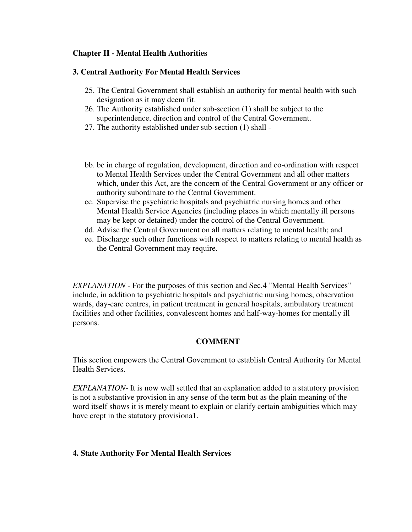## **Chapter II - Mental Health Authorities**

## **3. Central Authority For Mental Health Services**

- 25. The Central Government shall establish an authority for mental health with such designation as it may deem fit.
- 26. The Authority established under sub-section (1) shall be subject to the superintendence, direction and control of the Central Government.
- 27. The authority established under sub-section (1) shall -
- bb. be in charge of regulation, development, direction and co-ordination with respect to Mental Health Services under the Central Government and all other matters which, under this Act, are the concern of the Central Government or any officer or authority subordinate to the Central Government.
- cc. Supervise the psychiatric hospitals and psychiatric nursing homes and other Mental Health Service Agencies (including places in which mentally ill persons may be kept or detained) under the control of the Central Government.
- dd. Advise the Central Government on all matters relating to mental health; and
- ee. Discharge such other functions with respect to matters relating to mental health as the Central Government may require.

*EXPLANATION* - For the purposes of this section and Sec.4 "Mental Health Services" include, in addition to psychiatric hospitals and psychiatric nursing homes, observation wards, day-care centres, in patient treatment in general hospitals, ambulatory treatment facilities and other facilities, convalescent homes and half-way-homes for mentally ill persons.

# **COMMENT**

This section empowers the Central Government to establish Central Authority for Mental Health Services.

*EXPLANATION*- It is now well settled that an explanation added to a statutory provision is not a substantive provision in any sense of the term but as the plain meaning of the word itself shows it is merely meant to explain or clarify certain ambiguities which may have crept in the statutory provisiona1.

# **4. State Authority For Mental Health Services**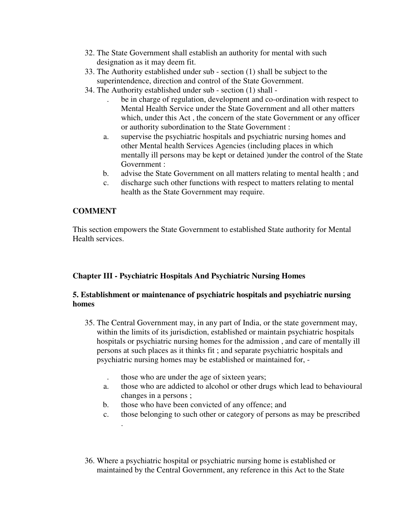- 32. The State Government shall establish an authority for mental with such designation as it may deem fit.
- 33. The Authority established under sub section (1) shall be subject to the superintendence, direction and control of the State Government.
- 34. The Authority established under sub section (1) shall
	- be in charge of regulation, development and co-ordination with respect to Mental Health Service under the State Government and all other matters which, under this Act , the concern of the state Government or any officer or authority subordination to the State Government :
	- a. supervise the psychiatric hospitals and psychiatric nursing homes and other Mental health Services Agencies (including places in which mentally ill persons may be kept or detained )under the control of the State Government :
	- b. advise the State Government on all matters relating to mental health ; and
	- c. discharge such other functions with respect to matters relating to mental health as the State Government may require.

# **COMMENT**

.

This section empowers the State Government to established State authority for Mental Health services.

# **Chapter III - Psychiatric Hospitals And Psychiatric Nursing Homes**

# **5. Establishment or maintenance of psychiatric hospitals and psychiatric nursing homes**

- 35. The Central Government may, in any part of India, or the state government may, within the limits of its jurisdiction, established or maintain psychiatric hospitals hospitals or psychiatric nursing homes for the admission , and care of mentally ill persons at such places as it thinks fit ; and separate psychiatric hospitals and psychiatric nursing homes may be established or maintained for, -
	- . those who are under the age of sixteen years;
	- a. those who are addicted to alcohol or other drugs which lead to behavioural changes in a persons ;
	- b. those who have been convicted of any offence; and
	- c. those belonging to such other or category of persons as may be prescribed
- 36. Where a psychiatric hospital or psychiatric nursing home is established or maintained by the Central Government, any reference in this Act to the State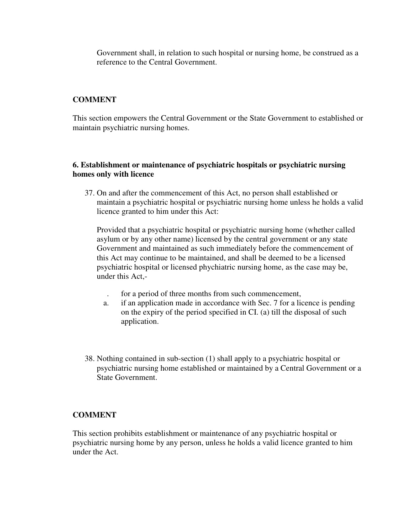Government shall, in relation to such hospital or nursing home, be construed as a reference to the Central Government.

## **COMMENT**

This section empowers the Central Government or the State Government to established or maintain psychiatric nursing homes.

## **6. Establishment or maintenance of psychiatric hospitals or psychiatric nursing homes only with licence**

37. On and after the commencement of this Act, no person shall established or maintain a psychiatric hospital or psychiatric nursing home unless he holds a valid licence granted to him under this Act:

Provided that a psychiatric hospital or psychiatric nursing home (whether called asylum or by any other name) licensed by the central government or any state Government and maintained as such immediately before the commencement of this Act may continue to be maintained, and shall be deemed to be a licensed psychiatric hospital or licensed phychiatric nursing home, as the case may be, under this Act,-

- . for a period of three months from such commencement,
- a. if an application made in accordance with Sec. 7 for a licence is pending on the expiry of the period specified in CI. (a) till the disposal of such application.
- 38. Nothing contained in sub-section (1) shall apply to a psychiatric hospital or psychiatric nursing home established or maintained by a Central Government or a State Government.

## **COMMENT**

This section prohibits establishment or maintenance of any psychiatric hospital or psychiatric nursing home by any person, unless he holds a valid licence granted to him under the Act.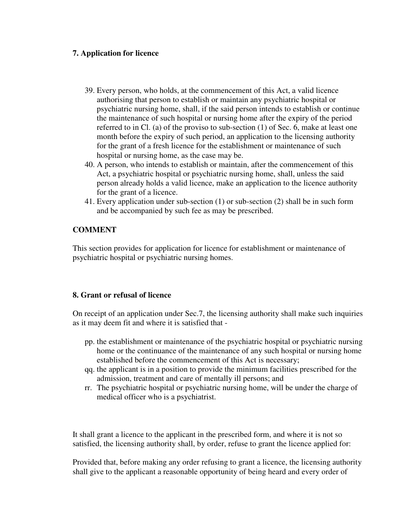## **7. Application for licence**

- 39. Every person, who holds, at the commencement of this Act, a valid licence authorising that person to establish or maintain any psychiatric hospital or psychiatric nursing home, shall, if the said person intends to establish or continue the maintenance of such hospital or nursing home after the expiry of the period referred to in Cl. (a) of the proviso to sub-section (1) of Sec. 6, make at least one month before the expiry of such period, an application to the licensing authority for the grant of a fresh licence for the establishment or maintenance of such hospital or nursing home, as the case may be.
- 40. A person, who intends to establish or maintain, after the commencement of this Act, a psychiatric hospital or psychiatric nursing home, shall, unless the said person already holds a valid licence, make an application to the licence authority for the grant of a licence.
- 41. Every application under sub-section (1) or sub-section (2) shall be in such form and be accompanied by such fee as may be prescribed.

# **COMMENT**

This section provides for application for licence for establishment or maintenance of psychiatric hospital or psychiatric nursing homes.

## **8. Grant or refusal of licence**

On receipt of an application under Sec.7, the licensing authority shall make such inquiries as it may deem fit and where it is satisfied that -

- pp. the establishment or maintenance of the psychiatric hospital or psychiatric nursing home or the continuance of the maintenance of any such hospital or nursing home established before the commencement of this Act is necessary;
- qq. the applicant is in a position to provide the minimum facilities prescribed for the admission, treatment and care of mentally ill persons; and
- rr. The psychiatric hospital or psychiatric nursing home, will be under the charge of medical officer who is a psychiatrist.

It shall grant a licence to the applicant in the prescribed form, and where it is not so satisfied, the licensing authority shall, by order, refuse to grant the licence applied for:

Provided that, before making any order refusing to grant a licence, the licensing authority shall give to the applicant a reasonable opportunity of being heard and every order of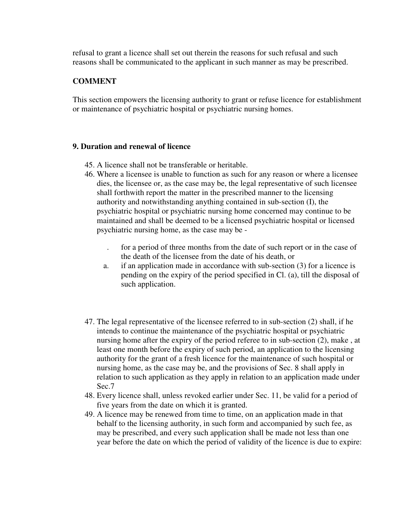refusal to grant a licence shall set out therein the reasons for such refusal and such reasons shall be communicated to the applicant in such manner as may be prescribed.

## **COMMENT**

This section empowers the licensing authority to grant or refuse licence for establishment or maintenance of psychiatric hospital or psychiatric nursing homes.

#### **9. Duration and renewal of licence**

- 45. A licence shall not be transferable or heritable.
- 46. Where a licensee is unable to function as such for any reason or where a licensee dies, the licensee or, as the case may be, the legal representative of such licensee shall forthwith report the matter in the prescribed manner to the licensing authority and notwithstanding anything contained in sub-section (I), the psychiatric hospital or psychiatric nursing home concerned may continue to be maintained and shall be deemed to be a licensed psychiatric hospital or licensed psychiatric nursing home, as the case may be -
	- . for a period of three months from the date of such report or in the case of the death of the licensee from the date of his death, or
	- a. if an application made in accordance with sub-section (3) for a licence is pending on the expiry of the period specified in Cl. (a), till the disposal of such application.
- 47. The legal representative of the licensee referred to in sub-section (2) shall, if he intends to continue the maintenance of the psychiatric hospital or psychiatric nursing home after the expiry of the period referee to in sub-section (2), make , at least one month before the expiry of such period, an application to the licensing authority for the grant of a fresh licence for the maintenance of such hospital or nursing home, as the case may be, and the provisions of Sec. 8 shall apply in relation to such application as they apply in relation to an application made under Sec.7
- 48. Every licence shall, unless revoked earlier under Sec. 11, be valid for a period of five years from the date on which it is granted.
- 49. A licence may be renewed from time to time, on an application made in that behalf to the licensing authority, in such form and accompanied by such fee, as may be prescribed, and every such application shall be made not less than one year before the date on which the period of validity of the licence is due to expire: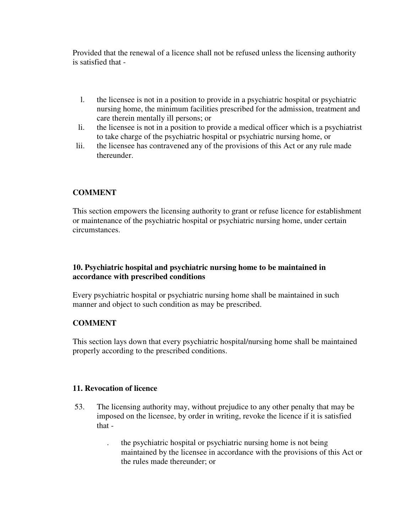Provided that the renewal of a licence shall not be refused unless the licensing authority is satisfied that -

- l. the licensee is not in a position to provide in a psychiatric hospital or psychiatric nursing home, the minimum facilities prescribed for the admission, treatment and care therein mentally ill persons; or
- li. the licensee is not in a position to provide a medical officer which is a psychiatrist to take charge of the psychiatric hospital or psychiatric nursing home, or
- lii. the licensee has contravened any of the provisions of this Act or any rule made thereunder.

# **COMMENT**

This section empowers the licensing authority to grant or refuse licence for establishment or maintenance of the psychiatric hospital or psychiatric nursing home, under certain circumstances.

# **10. Psychiatric hospital and psychiatric nursing home to be maintained in accordance with prescribed conditions**

Every psychiatric hospital or psychiatric nursing home shall be maintained in such manner and object to such condition as may be prescribed.

# **COMMENT**

This section lays down that every psychiatric hospital/nursing home shall be maintained properly according to the prescribed conditions.

# **11. Revocation of licence**

- 53. The licensing authority may, without prejudice to any other penalty that may be imposed on the licensee, by order in writing, revoke the licence if it is satisfied that -
	- . the psychiatric hospital or psychiatric nursing home is not being maintained by the licensee in accordance with the provisions of this Act or the rules made thereunder; or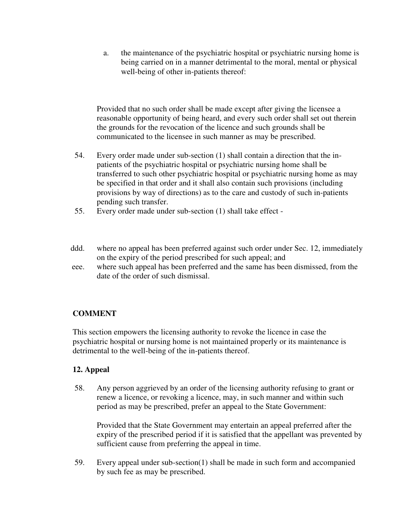a. the maintenance of the psychiatric hospital or psychiatric nursing home is being carried on in a manner detrimental to the moral, mental or physical well-being of other in-patients thereof:

Provided that no such order shall be made except after giving the licensee a reasonable opportunity of being heard, and every such order shall set out therein the grounds for the revocation of the licence and such grounds shall be communicated to the licensee in such manner as may be prescribed.

- 54. Every order made under sub-section (1) shall contain a direction that the inpatients of the psychiatric hospital or psychiatric nursing home shall be transferred to such other psychiatric hospital or psychiatric nursing home as may be specified in that order and it shall also contain such provisions (including provisions by way of directions) as to the care and custody of such in-patients pending such transfer.
- 55. Every order made under sub-section (1) shall take effect -
- ddd. where no appeal has been preferred against such order under Sec. 12, immediately on the expiry of the period prescribed for such appeal; and
- eee. where such appeal has been preferred and the same has been dismissed, from the date of the order of such dismissal.

# **COMMENT**

This section empowers the licensing authority to revoke the licence in case the psychiatric hospital or nursing home is not maintained properly or its maintenance is detrimental to the well-being of the in-patients thereof.

# **12. Appeal**

58. Any person aggrieved by an order of the licensing authority refusing to grant or renew a licence, or revoking a licence, may, in such manner and within such period as may be prescribed, prefer an appeal to the State Government:

Provided that the State Government may entertain an appeal preferred after the expiry of the prescribed period if it is satisfied that the appellant was prevented by sufficient cause from preferring the appeal in time.

59. Every appeal under sub-section(1) shall be made in such form and accompanied by such fee as may be prescribed.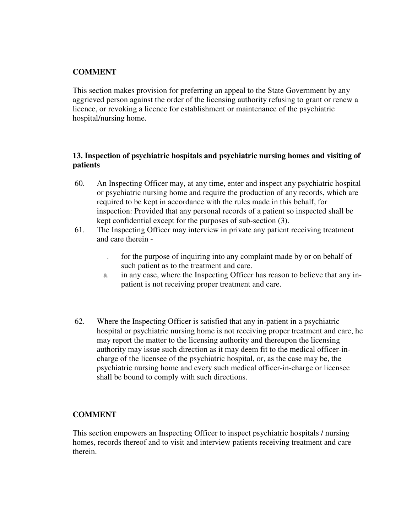# **COMMENT**

This section makes provision for preferring an appeal to the State Government by any aggrieved person against the order of the licensing authority refusing to grant or renew a licence, or revoking a licence for establishment or maintenance of the psychiatric hospital/nursing home.

## **13. Inspection of psychiatric hospitals and psychiatric nursing homes and visiting of patients**

- 60. An Inspecting Officer may, at any time, enter and inspect any psychiatric hospital or psychiatric nursing home and require the production of any records, which are required to be kept in accordance with the rules made in this behalf, for inspection: Provided that any personal records of a patient so inspected shall be kept confidential except for the purposes of sub-section (3).
- 61. The Inspecting Officer may interview in private any patient receiving treatment and care therein -
	- . for the purpose of inquiring into any complaint made by or on behalf of such patient as to the treatment and care.
	- a. in any case, where the Inspecting Officer has reason to believe that any inpatient is not receiving proper treatment and care.
- 62. Where the Inspecting Officer is satisfied that any in-patient in a psychiatric hospital or psychiatric nursing home is not receiving proper treatment and care, he may report the matter to the licensing authority and thereupon the licensing authority may issue such direction as it may deem fit to the medical officer-incharge of the licensee of the psychiatric hospital, or, as the case may be, the psychiatric nursing home and every such medical officer-in-charge or licensee shall be bound to comply with such directions.

## **COMMENT**

This section empowers an Inspecting Officer to inspect psychiatric hospitals / nursing homes, records thereof and to visit and interview patients receiving treatment and care therein.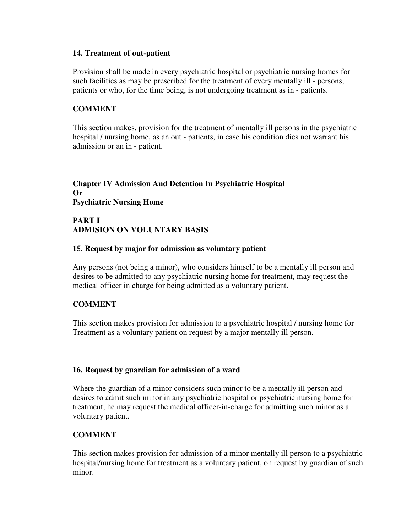#### **14. Treatment of out-patient**

Provision shall be made in every psychiatric hospital or psychiatric nursing homes for such facilities as may be prescribed for the treatment of every mentally ill - persons, patients or who, for the time being, is not undergoing treatment as in - patients.

## **COMMENT**

This section makes, provision for the treatment of mentally ill persons in the psychiatric hospital / nursing home, as an out - patients, in case his condition dies not warrant his admission or an in - patient.

# **Chapter IV Admission And Detention In Psychiatric Hospital Or Psychiatric Nursing Home**

## **PART I ADMISION ON VOLUNTARY BASIS**

## **15. Request by major for admission as voluntary patient**

Any persons (not being a minor), who considers himself to be a mentally ill person and desires to be admitted to any psychiatric nursing home for treatment, may request the medical officer in charge for being admitted as a voluntary patient.

## **COMMENT**

This section makes provision for admission to a psychiatric hospital / nursing home for Treatment as a voluntary patient on request by a major mentally ill person.

## **16. Request by guardian for admission of a ward**

Where the guardian of a minor considers such minor to be a mentally ill person and desires to admit such minor in any psychiatric hospital or psychiatric nursing home for treatment, he may request the medical officer-in-charge for admitting such minor as a voluntary patient.

## **COMMENT**

This section makes provision for admission of a minor mentally ill person to a psychiatric hospital/nursing home for treatment as a voluntary patient, on request by guardian of such minor.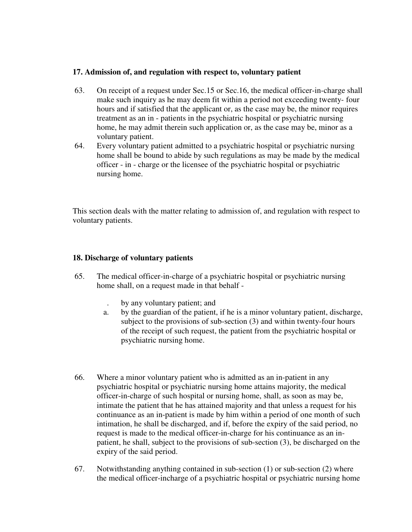## **17. Admission of, and regulation with respect to, voluntary patient**

- 63. On receipt of a request under Sec.15 or Sec.16, the medical officer-in-charge shall make such inquiry as he may deem fit within a period not exceeding twenty- four hours and if satisfied that the applicant or, as the case may be, the minor requires treatment as an in - patients in the psychiatric hospital or psychiatric nursing home, he may admit therein such application or, as the case may be, minor as a voluntary patient.
- 64. Every voluntary patient admitted to a psychiatric hospital or psychiatric nursing home shall be bound to abide by such regulations as may be made by the medical officer - in - charge or the licensee of the psychiatric hospital or psychiatric nursing home.

This section deals with the matter relating to admission of, and regulation with respect to voluntary patients.

## **18. Discharge of voluntary patients**

- 65. The medical officer-in-charge of a psychiatric hospital or psychiatric nursing home shall, on a request made in that behalf -
	- . by any voluntary patient; and
	- a. by the guardian of the patient, if he is a minor voluntary patient, discharge, subject to the provisions of sub-section (3) and within twenty-four hours of the receipt of such request, the patient from the psychiatric hospital or psychiatric nursing home.
- 66. Where a minor voluntary patient who is admitted as an in-patient in any psychiatric hospital or psychiatric nursing home attains majority, the medical officer-in-charge of such hospital or nursing home, shall, as soon as may be, intimate the patient that he has attained majority and that unless a request for his continuance as an in-patient is made by him within a period of one month of such intimation, he shall be discharged, and if, before the expiry of the said period, no request is made to the medical officer-in-charge for his continuance as an inpatient, he shall, subject to the provisions of sub-section (3), be discharged on the expiry of the said period.
- 67. Notwithstanding anything contained in sub-section (1) or sub-section (2) where the medical officer-incharge of a psychiatric hospital or psychiatric nursing home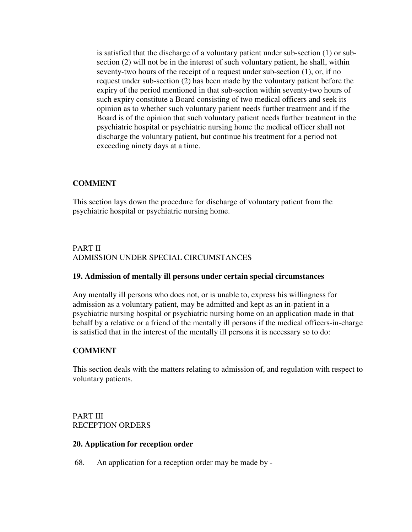is satisfied that the discharge of a voluntary patient under sub-section (1) or subsection (2) will not be in the interest of such voluntary patient, he shall, within seventy-two hours of the receipt of a request under sub-section (1), or, if no request under sub-section (2) has been made by the voluntary patient before the expiry of the period mentioned in that sub-section within seventy-two hours of such expiry constitute a Board consisting of two medical officers and seek its opinion as to whether such voluntary patient needs further treatment and if the Board is of the opinion that such voluntary patient needs further treatment in the psychiatric hospital or psychiatric nursing home the medical officer shall not discharge the voluntary patient, but continue his treatment for a period not exceeding ninety days at a time.

# **COMMENT**

This section lays down the procedure for discharge of voluntary patient from the psychiatric hospital or psychiatric nursing home.

# PART II ADMISSION UNDER SPECIAL CIRCUMSTANCES

## **19. Admission of mentally ill persons under certain special circumstances**

Any mentally ill persons who does not, or is unable to, express his willingness for admission as a voluntary patient, may be admitted and kept as an in-patient in a psychiatric nursing hospital or psychiatric nursing home on an application made in that behalf by a relative or a friend of the mentally ill persons if the medical officers-in-charge is satisfied that in the interest of the mentally ill persons it is necessary so to do:

## **COMMENT**

This section deals with the matters relating to admission of, and regulation with respect to voluntary patients.

PART III RECEPTION ORDERS

#### **20. Application for reception order**

68. An application for a reception order may be made by -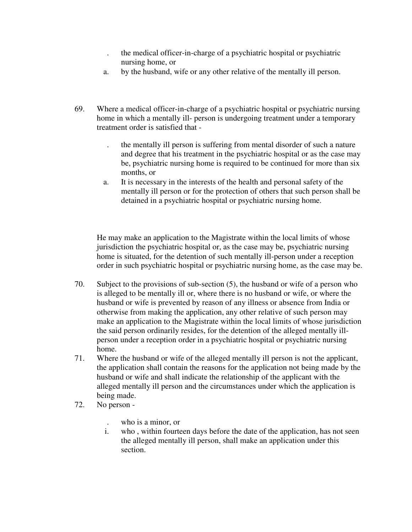- . the medical officer-in-charge of a psychiatric hospital or psychiatric nursing home, or
- a. by the husband, wife or any other relative of the mentally ill person.
- 69. Where a medical officer-in-charge of a psychiatric hospital or psychiatric nursing home in which a mentally ill- person is undergoing treatment under a temporary treatment order is satisfied that -
	- . the mentally ill person is suffering from mental disorder of such a nature and degree that his treatment in the psychiatric hospital or as the case may be, psychiatric nursing home is required to be continued for more than six months, or
	- a. It is necessary in the interests of the health and personal safety of the mentally ill person or for the protection of others that such person shall be detained in a psychiatric hospital or psychiatric nursing home.

He may make an application to the Magistrate within the local limits of whose jurisdiction the psychiatric hospital or, as the case may be, psychiatric nursing home is situated, for the detention of such mentally ill-person under a reception order in such psychiatric hospital or psychiatric nursing home, as the case may be.

- 70. Subject to the provisions of sub-section (5), the husband or wife of a person who is alleged to be mentally ill or, where there is no husband or wife, or where the husband or wife is prevented by reason of any illness or absence from India or otherwise from making the application, any other relative of such person may make an application to the Magistrate within the local limits of whose jurisdiction the said person ordinarily resides, for the detention of the alleged mentally illperson under a reception order in a psychiatric hospital or psychiatric nursing home.
- 71. Where the husband or wife of the alleged mentally ill person is not the applicant, the application shall contain the reasons for the application not being made by the husband or wife and shall indicate the relationship of the applicant with the alleged mentally ill person and the circumstances under which the application is being made.
- 72. No person
	- . who is a minor, or
	- i. who , within fourteen days before the date of the application, has not seen the alleged mentally ill person, shall make an application under this section.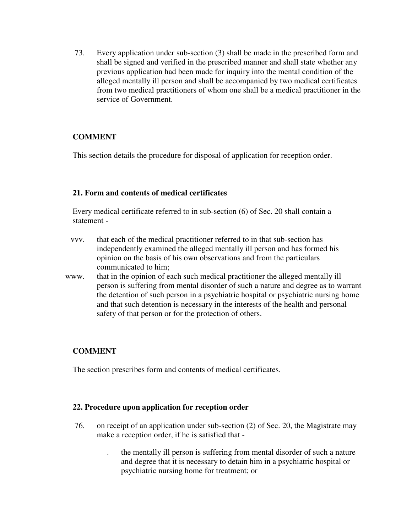73. Every application under sub-section (3) shall be made in the prescribed form and shall be signed and verified in the prescribed manner and shall state whether any previous application had been made for inquiry into the mental condition of the alleged mentally ill person and shall be accompanied by two medical certificates from two medical practitioners of whom one shall be a medical practitioner in the service of Government.

# **COMMENT**

This section details the procedure for disposal of application for reception order.

## **21. Form and contents of medical certificates**

Every medical certificate referred to in sub-section (6) of Sec. 20 shall contain a statement -

- vvv. that each of the medical practitioner referred to in that sub-section has independently examined the alleged mentally ill person and has formed his opinion on the basis of his own observations and from the particulars communicated to him;
- www. that in the opinion of each such medical practitioner the alleged mentally ill person is suffering from mental disorder of such a nature and degree as to warrant the detention of such person in a psychiatric hospital or psychiatric nursing home and that such detention is necessary in the interests of the health and personal safety of that person or for the protection of others.

# **COMMENT**

The section prescribes form and contents of medical certificates.

## **22. Procedure upon application for reception order**

- 76. on receipt of an application under sub-section (2) of Sec. 20, the Magistrate may make a reception order, if he is satisfied that -
	- . the mentally ill person is suffering from mental disorder of such a nature and degree that it is necessary to detain him in a psychiatric hospital or psychiatric nursing home for treatment; or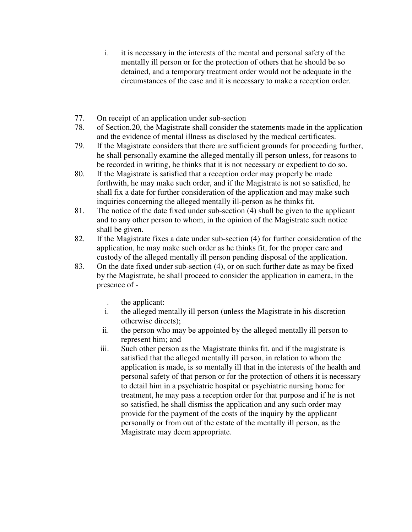- i. it is necessary in the interests of the mental and personal safety of the mentally ill person or for the protection of others that he should be so detained, and a temporary treatment order would not be adequate in the circumstances of the case and it is necessary to make a reception order.
- 77. On receipt of an application under sub-section
- 78. of Section.20, the Magistrate shall consider the statements made in the application and the evidence of mental illness as disclosed by the medical certificates.
- 79. If the Magistrate considers that there are sufficient grounds for proceeding further, he shall personally examine the alleged mentally ill person unless, for reasons to be recorded in writing, he thinks that it is not necessary or expedient to do so.
- 80. If the Magistrate is satisfied that a reception order may properly be made forthwith, he may make such order, and if the Magistrate is not so satisfied, he shall fix a date for further consideration of the application and may make such inquiries concerning the alleged mentally ill-person as he thinks fit.
- 81. The notice of the date fixed under sub-section (4) shall be given to the applicant and to any other person to whom, in the opinion of the Magistrate such notice shall be given.
- 82. If the Magistrate fixes a date under sub-section (4) for further consideration of the application, he may make such order as he thinks fit, for the proper care and custody of the alleged mentally ill person pending disposal of the application.
- 83. On the date fixed under sub-section (4), or on such further date as may be fixed by the Magistrate, he shall proceed to consider the application in camera, in the presence of -
	- . the applicant:
	- i. the alleged mentally ill person (unless the Magistrate in his discretion otherwise directs);
	- ii. the person who may be appointed by the alleged mentally ill person to represent him; and
	- iii. Such other person as the Magistrate thinks fit. and if the magistrate is satisfied that the alleged mentally ill person, in relation to whom the application is made, is so mentally ill that in the interests of the health and personal safety of that person or for the protection of others it is necessary to detail him in a psychiatric hospital or psychiatric nursing home for treatment, he may pass a reception order for that purpose and if he is not so satisfied, he shall dismiss the application and any such order may provide for the payment of the costs of the inquiry by the applicant personally or from out of the estate of the mentally ill person, as the Magistrate may deem appropriate.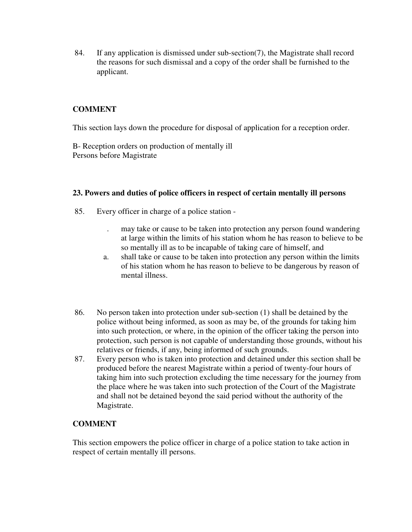84. If any application is dismissed under sub-section(7), the Magistrate shall record the reasons for such dismissal and a copy of the order shall be furnished to the applicant.

# **COMMENT**

This section lays down the procedure for disposal of application for a reception order.

B- Reception orders on production of mentally ill Persons before Magistrate

## **23. Powers and duties of police officers in respect of certain mentally ill persons**

- 85. Every officer in charge of a police station
	- . may take or cause to be taken into protection any person found wandering at large within the limits of his station whom he has reason to believe to be so mentally ill as to be incapable of taking care of himself, and
	- a. shall take or cause to be taken into protection any person within the limits of his station whom he has reason to believe to be dangerous by reason of mental illness.
- 86. No person taken into protection under sub-section (1) shall be detained by the police without being informed, as soon as may be, of the grounds for taking him into such protection, or where, in the opinion of the officer taking the person into protection, such person is not capable of understanding those grounds, without his relatives or friends, if any, being informed of such grounds.
- 87. Every person who is taken into protection and detained under this section shall be produced before the nearest Magistrate within a period of twenty-four hours of taking him into such protection excluding the time necessary for the journey from the place where he was taken into such protection of the Court of the Magistrate and shall not be detained beyond the said period without the authority of the Magistrate.

# **COMMENT**

This section empowers the police officer in charge of a police station to take action in respect of certain mentally ill persons.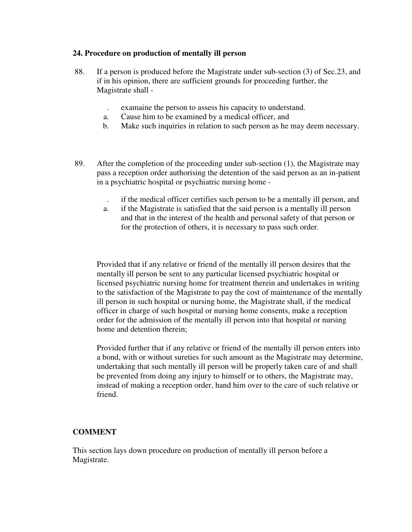## **24. Procedure on production of mentally ill person**

- 88. If a person is produced before the Magistrate under sub-section (3) of Sec.23, and if in his opinion, there are sufficient grounds for proceeding further, the Magistrate shall -
	- . examaine the person to assess his capacity to understand.
	- a. Cause him to be examined by a medical officer, and
	- b. Make such inquiries in relation to such person as he may deem necessary.
- 89. After the completion of the proceeding under sub-section (1), the Magistrate may pass a reception order authorising the detention of the said person as an in-patient in a psychiatric hospital or psychiatric nursing home -
	- . if the medical officer certifies such person to be a mentally ill person, and
	- a. if the Magistrate is satisfied that the said person is a mentally ill person and that in the interest of the health and personal safety of that person or for the protection of others, it is necessary to pass such order.

Provided that if any relative or friend of the mentally ill person desires that the mentally ill person be sent to any particular licensed psychiatric hospital or licensed psychiatric nursing home for treatment therein and undertakes in writing to the satisfaction of the Magistrate to pay the cost of maintenance of the mentally ill person in such hospital or nursing home, the Magistrate shall, if the medical officer in charge of such hospital or nursing home consents, make a reception order for the admission of the mentally ill person into that hospital or nursing home and detention therein;

Provided further that if any relative or friend of the mentally ill person enters into a bond, with or without sureties for such amount as the Magistrate may determine, undertaking that such mentally ill person will be properly taken care of and shall be prevented from doing any injury to himself or to others, the Magistrate may, instead of making a reception order, hand him over to the care of such relative or friend.

# **COMMENT**

This section lays down procedure on production of mentally ill person before a Magistrate.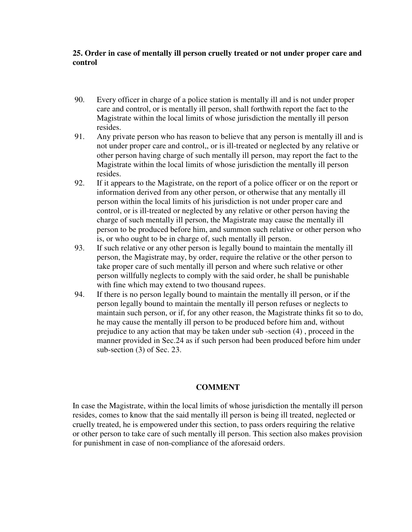## **25. Order in case of mentally ill person cruelly treated or not under proper care and control**

- 90. Every officer in charge of a police station is mentally ill and is not under proper care and control, or is mentally ill person, shall forthwith report the fact to the Magistrate within the local limits of whose jurisdiction the mentally ill person resides.
- 91. Any private person who has reason to believe that any person is mentally ill and is not under proper care and control,, or is ill-treated or neglected by any relative or other person having charge of such mentally ill person, may report the fact to the Magistrate within the local limits of whose jurisdiction the mentally ill person resides.
- 92. If it appears to the Magistrate, on the report of a police officer or on the report or information derived from any other person, or otherwise that any mentally ill person within the local limits of his jurisdiction is not under proper care and control, or is ill-treated or neglected by any relative or other person having the charge of such mentally ill person, the Magistrate may cause the mentally ill person to be produced before him, and summon such relative or other person who is, or who ought to be in charge of, such mentally ill person.
- 93. If such relative or any other person is legally bound to maintain the mentally ill person, the Magistrate may, by order, require the relative or the other person to take proper care of such mentally ill person and where such relative or other person willfully neglects to comply with the said order, he shall be punishable with fine which may extend to two thousand rupees.
- 94. If there is no person legally bound to maintain the mentally ill person, or if the person legally bound to maintain the mentally ill person refuses or neglects to maintain such person, or if, for any other reason, the Magistrate thinks fit so to do, he may cause the mentally ill person to be produced before him and, without prejudice to any action that may be taken under sub -section (4) , proceed in the manner provided in Sec.24 as if such person had been produced before him under sub-section (3) of Sec. 23.

## **COMMENT**

In case the Magistrate, within the local limits of whose jurisdiction the mentally ill person resides, comes to know that the said mentally ill person is being ill treated, neglected or cruelly treated, he is empowered under this section, to pass orders requiring the relative or other person to take care of such mentally ill person. This section also makes provision for punishment in case of non-compliance of the aforesaid orders.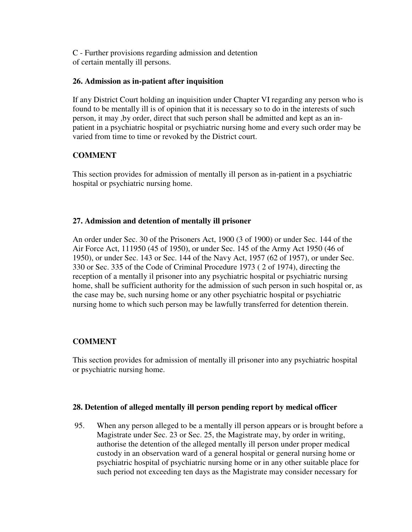C - Further provisions regarding admission and detention of certain mentally ill persons.

## **26. Admission as in-patient after inquisition**

If any District Court holding an inquisition under Chapter VI regarding any person who is found to be mentally ill is of opinion that it is necessary so to do in the interests of such person, it may ,by order, direct that such person shall be admitted and kept as an inpatient in a psychiatric hospital or psychiatric nursing home and every such order may be varied from time to time or revoked by the District court.

# **COMMENT**

This section provides for admission of mentally ill person as in-patient in a psychiatric hospital or psychiatric nursing home.

## **27. Admission and detention of mentally ill prisoner**

An order under Sec. 30 of the Prisoners Act, 1900 (3 of 1900) or under Sec. 144 of the Air Force Act, 111950 (45 of 1950), or under Sec. 145 of the Army Act 1950 (46 of 1950), or under Sec. 143 or Sec. 144 of the Navy Act, 1957 (62 of 1957), or under Sec. 330 or Sec. 335 of the Code of Criminal Procedure 1973 ( 2 of 1974), directing the reception of a mentally il prisoner into any psychiatric hospital or psychiatric nursing home, shall be sufficient authority for the admission of such person in such hospital or, as the case may be, such nursing home or any other psychiatric hospital or psychiatric nursing home to which such person may be lawfully transferred for detention therein.

# **COMMENT**

This section provides for admission of mentally ill prisoner into any psychiatric hospital or psychiatric nursing home.

## **28. Detention of alleged mentally ill person pending report by medical officer**

95. When any person alleged to be a mentally ill person appears or is brought before a Magistrate under Sec. 23 or Sec. 25, the Magistrate may, by order in writing, authorise the detention of the alleged mentally ill person under proper medical custody in an observation ward of a general hospital or general nursing home or psychiatric hospital of psychiatric nursing home or in any other suitable place for such period not exceeding ten days as the Magistrate may consider necessary for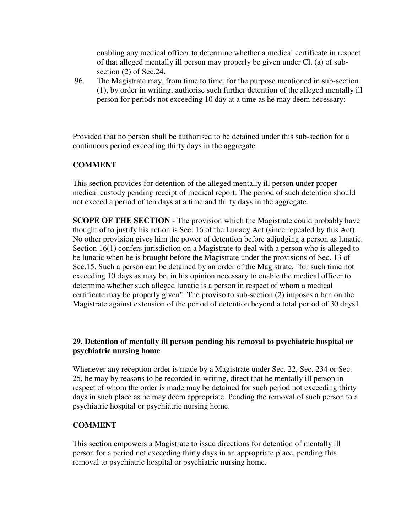enabling any medical officer to determine whether a medical certificate in respect of that alleged mentally ill person may properly be given under Cl. (a) of subsection (2) of Sec.24.

96. The Magistrate may, from time to time, for the purpose mentioned in sub-section (1), by order in writing, authorise such further detention of the alleged mentally ill person for periods not exceeding 10 day at a time as he may deem necessary:

Provided that no person shall be authorised to be detained under this sub-section for a continuous period exceeding thirty days in the aggregate.

## **COMMENT**

This section provides for detention of the alleged mentally ill person under proper medical custody pending receipt of medical report. The period of such detention should not exceed a period of ten days at a time and thirty days in the aggregate.

**SCOPE OF THE SECTION** - The provision which the Magistrate could probably have thought of to justify his action is Sec. 16 of the Lunacy Act (since repealed by this Act). No other provision gives him the power of detention before adjudging a person as lunatic. Section 16(1) confers jurisdiction on a Magistrate to deal with a person who is alleged to be lunatic when he is brought before the Magistrate under the provisions of Sec. 13 of Sec.15. Such a person can be detained by an order of the Magistrate, "for such time not exceeding 10 days as may be, in his opinion necessary to enable the medical officer to determine whether such alleged lunatic is a person in respect of whom a medical certificate may be properly given". The proviso to sub-section (2) imposes a ban on the Magistrate against extension of the period of detention beyond a total period of 30 days1.

## **29. Detention of mentally ill person pending his removal to psychiatric hospital or psychiatric nursing home**

Whenever any reception order is made by a Magistrate under Sec. 22, Sec. 234 or Sec. 25, he may by reasons to be recorded in writing, direct that he mentally ill person in respect of whom the order is made may be detained for such period not exceeding thirty days in such place as he may deem appropriate. Pending the removal of such person to a psychiatric hospital or psychiatric nursing home.

## **COMMENT**

This section empowers a Magistrate to issue directions for detention of mentally ill person for a period not exceeding thirty days in an appropriate place, pending this removal to psychiatric hospital or psychiatric nursing home.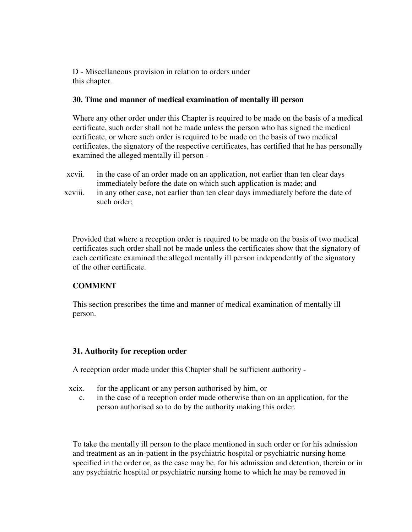D - Miscellaneous provision in relation to orders under this chapter.

## **30. Time and manner of medical examination of mentally ill person**

Where any other order under this Chapter is required to be made on the basis of a medical certificate, such order shall not be made unless the person who has signed the medical certificate, or where such order is required to be made on the basis of two medical certificates, the signatory of the respective certificates, has certified that he has personally examined the alleged mentally ill person -

- xcvii. in the case of an order made on an application, not earlier than ten clear days immediately before the date on which such application is made; and
- xcviii. in any other case, not earlier than ten clear days immediately before the date of such order;

Provided that where a reception order is required to be made on the basis of two medical certificates such order shall not be made unless the certificates show that the signatory of each certificate examined the alleged mentally ill person independently of the signatory of the other certificate.

# **COMMENT**

This section prescribes the time and manner of medical examination of mentally ill person.

# **31. Authority for reception order**

A reception order made under this Chapter shall be sufficient authority -

- xcix. for the applicant or any person authorised by him, or
	- c. in the case of a reception order made otherwise than on an application, for the person authorised so to do by the authority making this order.

To take the mentally ill person to the place mentioned in such order or for his admission and treatment as an in-patient in the psychiatric hospital or psychiatric nursing home specified in the order or, as the case may be, for his admission and detention, therein or in any psychiatric hospital or psychiatric nursing home to which he may be removed in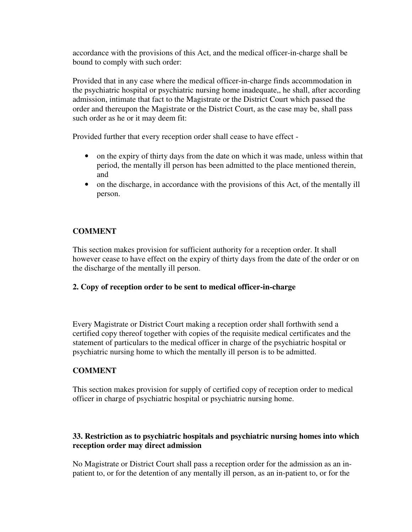accordance with the provisions of this Act, and the medical officer-in-charge shall be bound to comply with such order:

Provided that in any case where the medical officer-in-charge finds accommodation in the psychiatric hospital or psychiatric nursing home inadequate,, he shall, after according admission, intimate that fact to the Magistrate or the District Court which passed the order and thereupon the Magistrate or the District Court, as the case may be, shall pass such order as he or it may deem fit:

Provided further that every reception order shall cease to have effect -

- on the expiry of thirty days from the date on which it was made, unless within that period, the mentally ill person has been admitted to the place mentioned therein, and
- on the discharge, in accordance with the provisions of this Act, of the mentally ill person.

# **COMMENT**

This section makes provision for sufficient authority for a reception order. It shall however cease to have effect on the expiry of thirty days from the date of the order or on the discharge of the mentally ill person.

# **2. Copy of reception order to be sent to medical officer-in-charge**

Every Magistrate or District Court making a reception order shall forthwith send a certified copy thereof together with copies of the requisite medical certificates and the statement of particulars to the medical officer in charge of the psychiatric hospital or psychiatric nursing home to which the mentally ill person is to be admitted.

# **COMMENT**

This section makes provision for supply of certified copy of reception order to medical officer in charge of psychiatric hospital or psychiatric nursing home.

# **33. Restriction as to psychiatric hospitals and psychiatric nursing homes into which reception order may direct admission**

No Magistrate or District Court shall pass a reception order for the admission as an inpatient to, or for the detention of any mentally ill person, as an in-patient to, or for the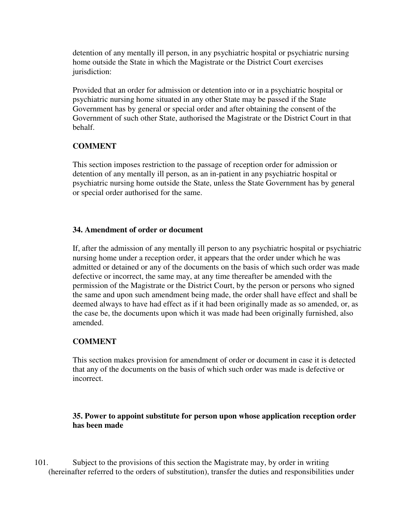detention of any mentally ill person, in any psychiatric hospital or psychiatric nursing home outside the State in which the Magistrate or the District Court exercises jurisdiction:

Provided that an order for admission or detention into or in a psychiatric hospital or psychiatric nursing home situated in any other State may be passed if the State Government has by general or special order and after obtaining the consent of the Government of such other State, authorised the Magistrate or the District Court in that behalf.

# **COMMENT**

This section imposes restriction to the passage of reception order for admission or detention of any mentally ill person, as an in-patient in any psychiatric hospital or psychiatric nursing home outside the State, unless the State Government has by general or special order authorised for the same.

## **34. Amendment of order or document**

If, after the admission of any mentally ill person to any psychiatric hospital or psychiatric nursing home under a reception order, it appears that the order under which he was admitted or detained or any of the documents on the basis of which such order was made defective or incorrect, the same may, at any time thereafter be amended with the permission of the Magistrate or the District Court, by the person or persons who signed the same and upon such amendment being made, the order shall have effect and shall be deemed always to have had effect as if it had been originally made as so amended, or, as the case be, the documents upon which it was made had been originally furnished, also amended.

# **COMMENT**

This section makes provision for amendment of order or document in case it is detected that any of the documents on the basis of which such order was made is defective or incorrect.

## **35. Power to appoint substitute for person upon whose application reception order has been made**

101. Subject to the provisions of this section the Magistrate may, by order in writing (hereinafter referred to the orders of substitution), transfer the duties and responsibilities under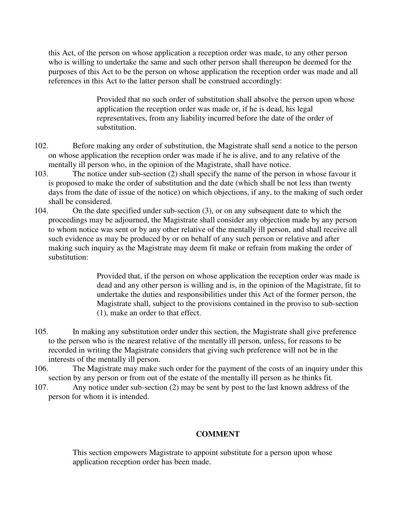this Act, of the person on whose application a reception order was made, to any other person who is willing to undertake the same and such other person shall thereupon be deemed for the purposes of this Act to be the person on whose application the reception order was made and all references in this Act to the latter person shall be construed accordingly:

> Provided that no such order of substitution shall absolve the person upon whose application the reception order was made or, if he is dead, his legal representatives, from any liability incurred before the date of the order of substitution.

- 102. Before making any order of substitution, the Magistrate shall send a notice to the person on whose application the reception order was made if he is alive, and to any relative of the mentally ill person who, in the opinion of the Magistrate, shall have notice.
- 103. The notice under sub-section (2) shall specify the name of the person in whose favour it is proposed to make the order of substitution and the date (which shall be not less than twenty days from the date of issue of the notice) on which objections, if any, to the making of such order shall be considered.
- 104. On the date specified under sub-section (3), or on any subsequent date to which the proceedings may be adjourned, the Magistrate shall consider any objection made by any person to whom notice was sent or by any other relative of the mentally ill person, and shall receive all such evidence as may be produced by or on behalf of any such person or relative and after making such inquiry as the Magistrate may deem fit make or refrain from making the order of substitution:

Provided that, if the person on whose application the reception order was made is dead and any other person is willing and is, in the opinion of the Magistrate, fit to undertake the duties and responsibilities under this Act of the former person, the Magistrate shall, subject to the provisions contained in the proviso to sub-section (1), make an order to that effect.

- 105. In making any substitution order under this section, the Magistrate shall give preference to the person who is the nearest relative of the mentally ill person, unless, for reasons to be recorded in writing the Magistrate considers that giving such preference will not be in the interests of the mentally ill person.
- 106. The Magistrate may make such order for the payment of the costs of an inquiry under this section by any person or from out of the estate of the mentally ill person as he thinks fit.
- 107. Any notice under sub-section (2) may be sent by post to the last known address of the person for whom it is intended.

# **COMMENT**

This section empowers Magistrate to appoint substitute for a person upon whose application reception order has been made.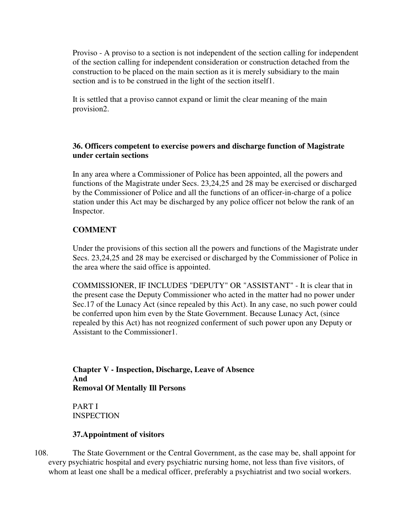Proviso - A proviso to a section is not independent of the section calling for independent of the section calling for independent consideration or construction detached from the construction to be placed on the main section as it is merely subsidiary to the main section and is to be construed in the light of the section itself1.

It is settled that a proviso cannot expand or limit the clear meaning of the main provision2.

## **36. Officers competent to exercise powers and discharge function of Magistrate under certain sections**

In any area where a Commissioner of Police has been appointed, all the powers and functions of the Magistrate under Secs. 23,24,25 and 28 may be exercised or discharged by the Commissioner of Police and all the functions of an officer-in-charge of a police station under this Act may be discharged by any police officer not below the rank of an Inspector.

# **COMMENT**

Under the provisions of this section all the powers and functions of the Magistrate under Secs. 23,24,25 and 28 may be exercised or discharged by the Commissioner of Police in the area where the said office is appointed.

COMMISSIONER, IF INCLUDES "DEPUTY" OR "ASSISTANT" - It is clear that in the present case the Deputy Commissioner who acted in the matter had no power under Sec.17 of the Lunacy Act (since repealed by this Act). In any case, no such power could be conferred upon him even by the State Government. Because Lunacy Act, (since repealed by this Act) has not reognized conferment of such power upon any Deputy or Assistant to the Commissioner1.

**Chapter V - Inspection, Discharge, Leave of Absence And Removal Of Mentally Ill Persons**

PART I **INSPECTION** 

## **37.Appointment of visitors**

108. The State Government or the Central Government, as the case may be, shall appoint for every psychiatric hospital and every psychiatric nursing home, not less than five visitors, of whom at least one shall be a medical officer, preferably a psychiatrist and two social workers.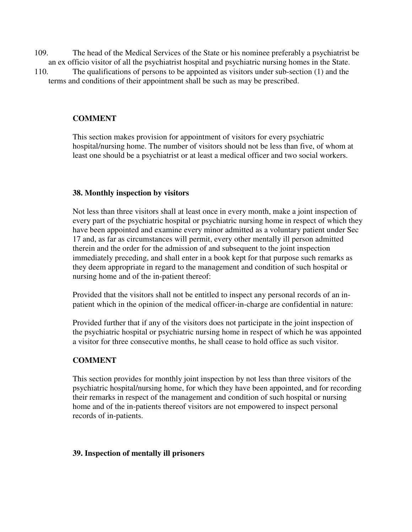- 109. The head of the Medical Services of the State or his nominee preferably a psychiatrist be an ex officio visitor of all the psychiatrist hospital and psychiatric nursing homes in the State.
- 110. The qualifications of persons to be appointed as visitors under sub-section (1) and the terms and conditions of their appointment shall be such as may be prescribed.

## **COMMENT**

This section makes provision for appointment of visitors for every psychiatric hospital/nursing home. The number of visitors should not be less than five, of whom at least one should be a psychiatrist or at least a medical officer and two social workers.

## **38. Monthly inspection by visitors**

Not less than three visitors shall at least once in every month, make a joint inspection of every part of the psychiatric hospital or psychiatric nursing home in respect of which they have been appointed and examine every minor admitted as a voluntary patient under Sec 17 and, as far as circumstances will permit, every other mentally ill person admitted therein and the order for the admission of and subsequent to the joint inspection immediately preceding, and shall enter in a book kept for that purpose such remarks as they deem appropriate in regard to the management and condition of such hospital or nursing home and of the in-patient thereof:

Provided that the visitors shall not be entitled to inspect any personal records of an inpatient which in the opinion of the medical officer-in-charge are confidential in nature:

Provided further that if any of the visitors does not participate in the joint inspection of the psychiatric hospital or psychiatric nursing home in respect of which he was appointed a visitor for three consecutive months, he shall cease to hold office as such visitor.

# **COMMENT**

This section provides for monthly joint inspection by not less than three visitors of the psychiatric hospital/nursing home, for which they have been appointed, and for recording their remarks in respect of the management and condition of such hospital or nursing home and of the in-patients thereof visitors are not empowered to inspect personal records of in-patients.

## **39. Inspection of mentally ill prisoners**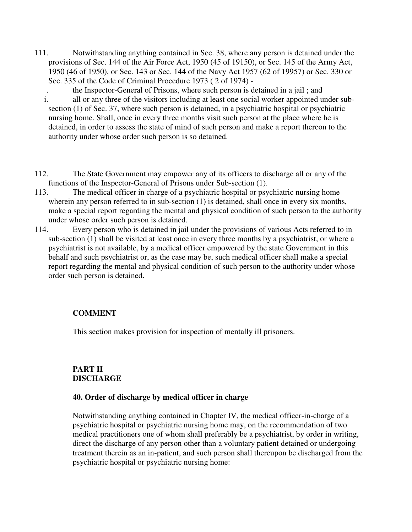- 111. Notwithstanding anything contained in Sec. 38, where any person is detained under the provisions of Sec. 144 of the Air Force Act, 1950 (45 of 19150), or Sec. 145 of the Army Act, 1950 (46 of 1950), or Sec. 143 or Sec. 144 of the Navy Act 1957 (62 of 19957) or Sec. 330 or Sec. 335 of the Code of Criminal Procedure 1973 ( 2 of 1974) -
	- . the Inspector-General of Prisons, where such person is detained in a jail ; and i. all or any three of the visitors including at least one social worker appointed under subsection (1) of Sec. 37, where such person is detained, in a psychiatric hospital or psychiatric nursing home. Shall, once in every three months visit such person at the place where he is detained, in order to assess the state of mind of such person and make a report thereon to the authority under whose order such person is so detained.
- 112. The State Government may empower any of its officers to discharge all or any of the functions of the Inspector-General of Prisons under Sub-section (1).
- 113. The medical officer in charge of a psychiatric hospital or psychiatric nursing home wherein any person referred to in sub-section (1) is detained, shall once in every six months, make a special report regarding the mental and physical condition of such person to the authority under whose order such person is detained.
- 114. Every person who is detained in jail under the provisions of various Acts referred to in sub-section (1) shall be visited at least once in every three months by a psychiatrist, or where a psychiatrist is not available, by a medical officer empowered by the state Government in this behalf and such psychiatrist or, as the case may be, such medical officer shall make a special report regarding the mental and physical condition of such person to the authority under whose order such person is detained.

# **COMMENT**

This section makes provision for inspection of mentally ill prisoners.

# **PART II DISCHARGE**

## **40. Order of discharge by medical officer in charge**

Notwithstanding anything contained in Chapter IV, the medical officer-in-charge of a psychiatric hospital or psychiatric nursing home may, on the recommendation of two medical practitioners one of whom shall preferably be a psychiatrist, by order in writing, direct the discharge of any person other than a voluntary patient detained or undergoing treatment therein as an in-patient, and such person shall thereupon be discharged from the psychiatric hospital or psychiatric nursing home: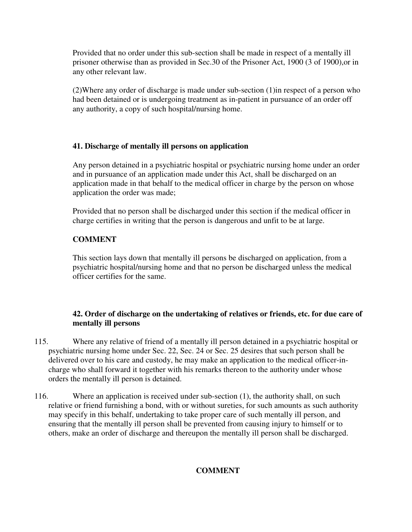Provided that no order under this sub-section shall be made in respect of a mentally ill prisoner otherwise than as provided in Sec.30 of the Prisoner Act, 1900 (3 of 1900),or in any other relevant law.

(2)Where any order of discharge is made under sub-section (1)in respect of a person who had been detained or is undergoing treatment as in-patient in pursuance of an order off any authority, a copy of such hospital/nursing home.

# **41. Discharge of mentally ill persons on application**

Any person detained in a psychiatric hospital or psychiatric nursing home under an order and in pursuance of an application made under this Act, shall be discharged on an application made in that behalf to the medical officer in charge by the person on whose application the order was made;

Provided that no person shall be discharged under this section if the medical officer in charge certifies in writing that the person is dangerous and unfit to be at large.

# **COMMENT**

This section lays down that mentally ill persons be discharged on application, from a psychiatric hospital/nursing home and that no person be discharged unless the medical officer certifies for the same.

# **42. Order of discharge on the undertaking of relatives or friends, etc. for due care of mentally ill persons**

- 115. Where any relative of friend of a mentally ill person detained in a psychiatric hospital or psychiatric nursing home under Sec. 22, Sec. 24 or Sec. 25 desires that such person shall be delivered over to his care and custody, he may make an application to the medical officer-incharge who shall forward it together with his remarks thereon to the authority under whose orders the mentally ill person is detained.
- 116. Where an application is received under sub-section (1), the authority shall, on such relative or friend furnishing a bond, with or without sureties, for such amounts as such authority may specify in this behalf, undertaking to take proper care of such mentally ill person, and ensuring that the mentally ill person shall be prevented from causing injury to himself or to others, make an order of discharge and thereupon the mentally ill person shall be discharged.

# **COMMENT**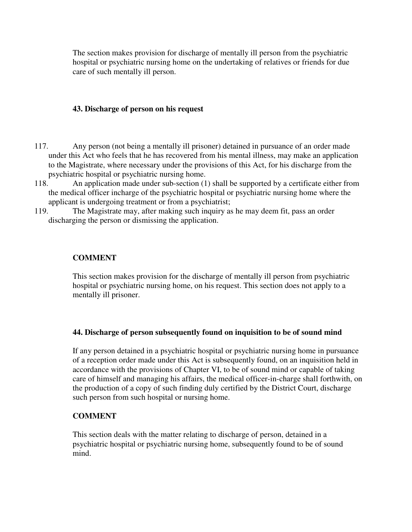The section makes provision for discharge of mentally ill person from the psychiatric hospital or psychiatric nursing home on the undertaking of relatives or friends for due care of such mentally ill person.

## **43. Discharge of person on his request**

- 117. Any person (not being a mentally ill prisoner) detained in pursuance of an order made under this Act who feels that he has recovered from his mental illness, may make an application to the Magistrate, where necessary under the provisions of this Act, for his discharge from the psychiatric hospital or psychiatric nursing home.
- 118. An application made under sub-section (1) shall be supported by a certificate either from the medical officer incharge of the psychiatric hospital or psychiatric nursing home where the applicant is undergoing treatment or from a psychiatrist;
- 119. The Magistrate may, after making such inquiry as he may deem fit, pass an order discharging the person or dismissing the application.

## **COMMENT**

This section makes provision for the discharge of mentally ill person from psychiatric hospital or psychiatric nursing home, on his request. This section does not apply to a mentally ill prisoner.

## **44. Discharge of person subsequently found on inquisition to be of sound mind**

If any person detained in a psychiatric hospital or psychiatric nursing home in pursuance of a reception order made under this Act is subsequently found, on an inquisition held in accordance with the provisions of Chapter VI, to be of sound mind or capable of taking care of himself and managing his affairs, the medical officer-in-charge shall forthwith, on the production of a copy of such finding duly certified by the District Court, discharge such person from such hospital or nursing home.

# **COMMENT**

This section deals with the matter relating to discharge of person, detained in a psychiatric hospital or psychiatric nursing home, subsequently found to be of sound mind.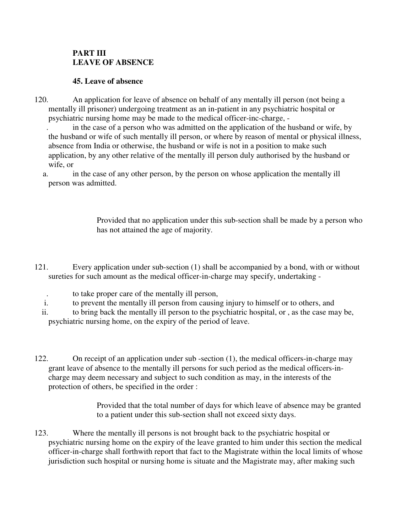# **PART III LEAVE OF ABSENCE**

# **45. Leave of absence**

120. An application for leave of absence on behalf of any mentally ill person (not being a mentally ill prisoner) undergoing treatment as an in-patient in any psychiatric hospital or psychiatric nursing home may be made to the medical officer-inc-charge, -

 . in the case of a person who was admitted on the application of the husband or wife, by the husband or wife of such mentally ill person, or where by reason of mental or physical illness, absence from India or otherwise, the husband or wife is not in a position to make such application, by any other relative of the mentally ill person duly authorised by the husband or wife, or

a. in the case of any other person, by the person on whose application the mentally ill person was admitted.

> Provided that no application under this sub-section shall be made by a person who has not attained the age of majority.

- 121. Every application under sub-section (1) shall be accompanied by a bond, with or without sureties for such amount as the medical officer-in-charge may specify, undertaking -
	- . to take proper care of the mentally ill person,
	- i. to prevent the mentally ill person from causing injury to himself or to others, and
	- ii. to bring back the mentally ill person to the psychiatric hospital, or , as the case may be, psychiatric nursing home, on the expiry of the period of leave.
- 122. On receipt of an application under sub -section (1), the medical officers-in-charge may grant leave of absence to the mentally ill persons for such period as the medical officers-incharge may deem necessary and subject to such condition as may, in the interests of the protection of others, be specified in the order :

Provided that the total number of days for which leave of absence may be granted to a patient under this sub-section shall not exceed sixty days.

123. Where the mentally ill persons is not brought back to the psychiatric hospital or psychiatric nursing home on the expiry of the leave granted to him under this section the medical officer-in-charge shall forthwith report that fact to the Magistrate within the local limits of whose jurisdiction such hospital or nursing home is situate and the Magistrate may, after making such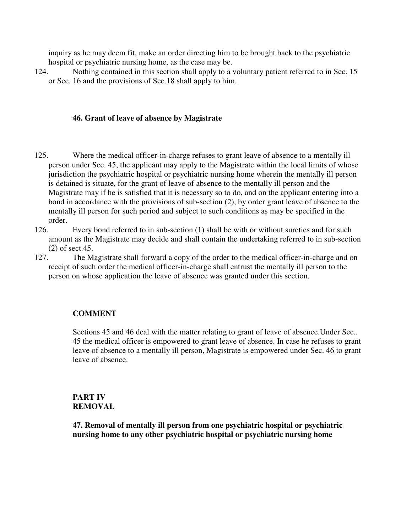inquiry as he may deem fit, make an order directing him to be brought back to the psychiatric hospital or psychiatric nursing home, as the case may be.

124. Nothing contained in this section shall apply to a voluntary patient referred to in Sec. 15 or Sec. 16 and the provisions of Sec.18 shall apply to him.

## **46. Grant of leave of absence by Magistrate**

- 125. Where the medical officer-in-charge refuses to grant leave of absence to a mentally ill person under Sec. 45, the applicant may apply to the Magistrate within the local limits of whose jurisdiction the psychiatric hospital or psychiatric nursing home wherein the mentally ill person is detained is situate, for the grant of leave of absence to the mentally ill person and the Magistrate may if he is satisfied that it is necessary so to do, and on the applicant entering into a bond in accordance with the provisions of sub-section (2), by order grant leave of absence to the mentally ill person for such period and subject to such conditions as may be specified in the order.
- 126. Every bond referred to in sub-section (1) shall be with or without sureties and for such amount as the Magistrate may decide and shall contain the undertaking referred to in sub-section (2) of sect.45.
- 127. The Magistrate shall forward a copy of the order to the medical officer-in-charge and on receipt of such order the medical officer-in-charge shall entrust the mentally ill person to the person on whose application the leave of absence was granted under this section.

## **COMMENT**

Sections 45 and 46 deal with the matter relating to grant of leave of absence.Under Sec.. 45 the medical officer is empowered to grant leave of absence. In case he refuses to grant leave of absence to a mentally ill person, Magistrate is empowered under Sec. 46 to grant leave of absence.

# **PART IV REMOVAL**

**47. Removal of mentally ill person from one psychiatric hospital or psychiatric nursing home to any other psychiatric hospital or psychiatric nursing home**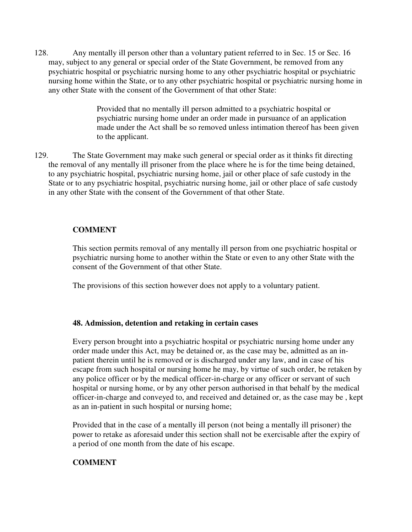128. Any mentally ill person other than a voluntary patient referred to in Sec. 15 or Sec. 16 may, subject to any general or special order of the State Government, be removed from any psychiatric hospital or psychiatric nursing home to any other psychiatric hospital or psychiatric nursing home within the State, or to any other psychiatric hospital or psychiatric nursing home in any other State with the consent of the Government of that other State:

> Provided that no mentally ill person admitted to a psychiatric hospital or psychiatric nursing home under an order made in pursuance of an application made under the Act shall be so removed unless intimation thereof has been given to the applicant.

129. The State Government may make such general or special order as it thinks fit directing the removal of any mentally ill prisoner from the place where he is for the time being detained, to any psychiatric hospital, psychiatric nursing home, jail or other place of safe custody in the State or to any psychiatric hospital, psychiatric nursing home, jail or other place of safe custody in any other State with the consent of the Government of that other State.

## **COMMENT**

This section permits removal of any mentally ill person from one psychiatric hospital or psychiatric nursing home to another within the State or even to any other State with the consent of the Government of that other State.

The provisions of this section however does not apply to a voluntary patient.

## **48. Admission, detention and retaking in certain cases**

Every person brought into a psychiatric hospital or psychiatric nursing home under any order made under this Act, may be detained or, as the case may be, admitted as an inpatient therein until he is removed or is discharged under any law, and in case of his escape from such hospital or nursing home he may, by virtue of such order, be retaken by any police officer or by the medical officer-in-charge or any officer or servant of such hospital or nursing home, or by any other person authorised in that behalf by the medical officer-in-charge and conveyed to, and received and detained or, as the case may be , kept as an in-patient in such hospital or nursing home;

Provided that in the case of a mentally ill person (not being a mentally ill prisoner) the power to retake as aforesaid under this section shall not be exercisable after the expiry of a period of one month from the date of his escape.

# **COMMENT**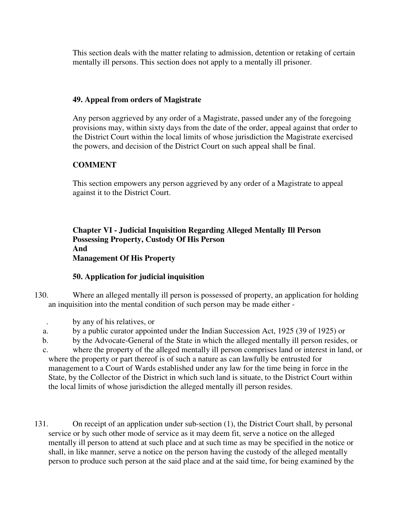This section deals with the matter relating to admission, detention or retaking of certain mentally ill persons. This section does not apply to a mentally ill prisoner.

# **49. Appeal from orders of Magistrate**

Any person aggrieved by any order of a Magistrate, passed under any of the foregoing provisions may, within sixty days from the date of the order, appeal against that order to the District Court within the local limits of whose jurisdiction the Magistrate exercised the powers, and decision of the District Court on such appeal shall be final.

# **COMMENT**

This section empowers any person aggrieved by any order of a Magistrate to appeal against it to the District Court.

## **Chapter VI - Judicial Inquisition Regarding Alleged Mentally Ill Person Possessing Property, Custody Of His Person And Management Of His Property**

# **50. Application for judicial inquisition**

130. Where an alleged mentally ill person is possessed of property, an application for holding an inquisition into the mental condition of such person may be made either -

- . by any of his relatives, or
- a. by a public curator appointed under the Indian Succession Act, 1925 (39 of 1925) or
- b. by the Advocate-General of the State in which the alleged mentally ill person resides, or
- c. where the property of the alleged mentally ill person comprises land or interest in land, or where the property or part thereof is of such a nature as can lawfully be entrusted for management to a Court of Wards established under any law for the time being in force in the State, by the Collector of the District in which such land is situate, to the District Court within the local limits of whose jurisdiction the alleged mentally ill person resides.
- 131. On receipt of an application under sub-section (1), the District Court shall, by personal service or by such other mode of service as it may deem fit, serve a notice on the alleged mentally ill person to attend at such place and at such time as may be specified in the notice or shall, in like manner, serve a notice on the person having the custody of the alleged mentally person to produce such person at the said place and at the said time, for being examined by the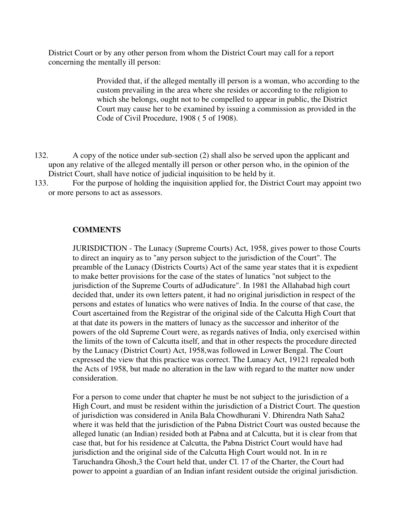District Court or by any other person from whom the District Court may call for a report concerning the mentally ill person:

> Provided that, if the alleged mentally ill person is a woman, who according to the custom prevailing in the area where she resides or according to the religion to which she belongs, ought not to be compelled to appear in public, the District Court may cause her to be examined by issuing a commission as provided in the Code of Civil Procedure, 1908 ( 5 of 1908).

- 132. A copy of the notice under sub-section (2) shall also be served upon the applicant and upon any relative of the alleged mentally ill person or other person who, in the opinion of the District Court, shall have notice of judicial inquisition to be held by it.
- 133. For the purpose of holding the inquisition applied for, the District Court may appoint two or more persons to act as assessors.

#### **COMMENTS**

JURISDICTION - The Lunacy (Supreme Courts) Act, 1958, gives power to those Courts to direct an inquiry as to "any person subject to the jurisdiction of the Court". The preamble of the Lunacy (Districts Courts) Act of the same year states that it is expedient to make better provisions for the case of the states of lunatics "not subject to the jurisdiction of the Supreme Courts of adJudicature". In 1981 the Allahabad high court decided that, under its own letters patent, it had no original jurisdiction in respect of the persons and estates of lunatics who were natives of India. In the course of that case, the Court ascertained from the Registrar of the original side of the Calcutta High Court that at that date its powers in the matters of lunacy as the successor and inheritor of the powers of the old Supreme Court were, as regards natives of India, only exercised within the limits of the town of Calcutta itself, and that in other respects the procedure directed by the Lunacy (District Court) Act, 1958,was followed in Lower Bengal. The Court expressed the view that this practice was correct. The Lunacy Act, 19121 repealed both the Acts of 1958, but made no alteration in the law with regard to the matter now under consideration.

For a person to come under that chapter he must be not subject to the jurisdiction of a High Court, and must be resident within the jurisdiction of a District Court. The question of jurisdiction was considered in Anila Bala Chowdhurani V. Dhirendra Nath Saha2 where it was held that the jurisdiction of the Pabna District Court was ousted because the alleged lunatic (an Indian) resided both at Pabna and at Calcutta, but it is clear from that case that, but for his residence at Calcutta, the Pabna District Court would have had jurisdiction and the original side of the Calcutta High Court would not. In in re Taruchandra Ghosh,3 the Court held that, under Cl. 17 of the Charter, the Court had power to appoint a guardian of an Indian infant resident outside the original jurisdiction.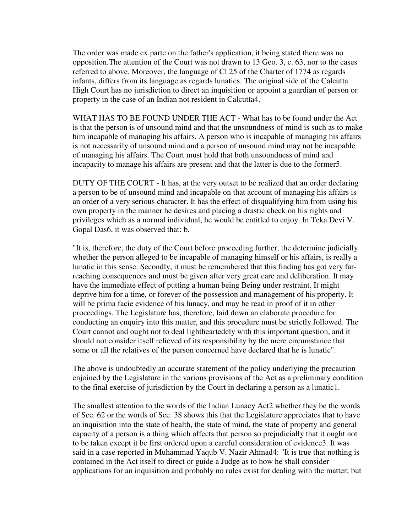The order was made ex parte on the father's application, it being stated there was no opposition.The attention of the Court was not drawn to 13 Geo. 3, c. 63, nor to the cases referred to above. Moreover, the language of Cl.25 of the Charter of 1774 as regards infants, differs from its language as regards lunatics. The original side of the Calcutta High Court has no jurisdiction to direct an inquisition or appoint a guardian of person or property in the case of an Indian not resident in Calcutta4.

WHAT HAS TO BE FOUND UNDER THE ACT - What has to be found under the Act is that the person is of unsound mind and that the unsoundness of mind is such as to make him incapable of managing his affairs. A person who is incapable of managing his affairs is not necessarily of unsound mind and a person of unsound mind may not be incapable of managing his affairs. The Court must hold that both unsoundness of mind and incapacity to manage his affairs are present and that the latter is due to the former5.

DUTY OF THE COURT - It has, at the very outset to be realized that an order declaring a person to be of unsound mind and incapable on that account of managing his affairs is an order of a very serious character. It has the effect of disqualifying him from using his own property in the manner he desires and placing a drastic check on his rights and privileges which as a normal individual, he would be entitled to enjoy. In Teka Devi V. Gopal Das6, it was observed that: b.

"It is, therefore, the duty of the Court before proceeding further, the determine judicially whether the person alleged to be incapable of managing himself or his affairs, is really a lunatic in this sense. Secondly, it must be remembered that this finding has got very farreaching consequences and must be given after very great care and deliberation. It may have the immediate effect of putting a human being Being under restraint. It might deprive him for a time, or forever of the possession and management of his property. It will be prima facie evidence of his lunacy, and may be read in proof of it in other proceedings. The Legislature has, therefore, laid down an elaborate procedure for conducting an enquiry into this matter, and this procedure must be strictly followed. The Court cannot and ought not to deal lightheartedely with this important question, and it should not consider itself relieved of its responsibility by the mere circumstance that some or all the relatives of the person concerned have declared that he is lunatic".

The above is undoubtedly an accurate statement of the policy underlying the precaution enjoined by the Legislature in the various provisions of the Act as a preliminary condition to the final exercise of jurisdiction by the Court in declaring a person as a lunatic1.

The smallest attention to the words of the Indian Lunacy Act2 whether they be the words of Sec. 62 or the words of Sec. 38 shows this that the Legislature appreciates that to have an inquisition into the state of health, the state of mind, the state of property and general capacity of a person is a thing which affects that person so prejudicially that it ought not to be taken except it be first ordered upon a careful consideration of evidence3. It was said in a case reported in Muhammad Yaqub V. Nazir Ahmad4: "It is true that nothing is contained in the Act itself to direct or guide a Judge as to how he shall consider applications for an inquisition and probably no rules exist for dealing with the matter; but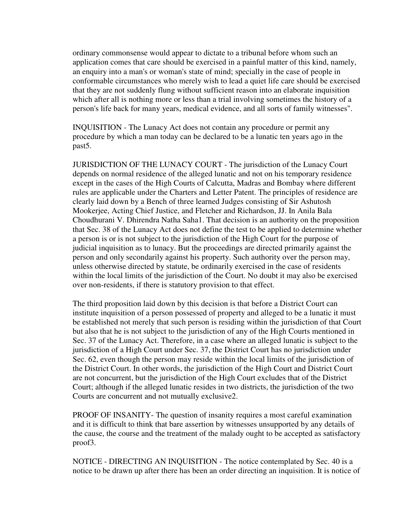ordinary commonsense would appear to dictate to a tribunal before whom such an application comes that care should be exercised in a painful matter of this kind, namely, an enquiry into a man's or woman's state of mind; specially in the case of people in conformable circumstances who merely wish to lead a quiet life care should be exercised that they are not suddenly flung without sufficient reason into an elaborate inquisition which after all is nothing more or less than a trial involving sometimes the history of a person's life back for many years, medical evidence, and all sorts of family witnesses".

INQUISITION - The Lunacy Act does not contain any procedure or permit any procedure by which a man today can be declared to be a lunatic ten years ago in the past5.

JURISDICTION OF THE LUNACY COURT - The jurisdiction of the Lunacy Court depends on normal residence of the alleged lunatic and not on his temporary residence except in the cases of the High Courts of Calcutta, Madras and Bombay where different rules are applicable under the Charters and Letter Patent. The principles of residence are clearly laid down by a Bench of three learned Judges consisting of Sir Ashutosh Mookerjee, Acting Chief Justice, and Fletcher and Richardson, JJ. In Anila Bala Choudhurani V. Dhirendra Natha Saha1. That decision is an authority on the proposition that Sec. 38 of the Lunacy Act does not define the test to be applied to determine whether a person is or is not subject to the jurisdiction of the High Court for the purpose of judicial inquisition as to lunacy. But the proceedings are directed primarily against the person and only secondarily against his property. Such authority over the person may, unless otherwise directed by statute, be ordinarily exercised in the case of residents within the local limits of the jurisdiction of the Court. No doubt it may also be exercised over non-residents, if there is statutory provision to that effect.

The third proposition laid down by this decision is that before a District Court can institute inquisition of a person possessed of property and alleged to be a lunatic it must be established not merely that such person is residing within the jurisdiction of that Court but also that he is not subject to the jurisdiction of any of the High Courts mentioned in Sec. 37 of the Lunacy Act. Therefore, in a case where an alleged lunatic is subject to the jurisdiction of a High Court under Sec. 37, the District Court has no jurisdiction under Sec. 62, even though the person may reside within the local limits of the jurisdiction of the District Court. In other words, the jurisdiction of the High Court and District Court are not concurrent, but the jurisdiction of the High Court excludes that of the District Court; although if the alleged lunatic resides in two districts, the jurisdiction of the two Courts are concurrent and not mutually exclusive2.

PROOF OF INSANITY- The question of insanity requires a most careful examination and it is difficult to think that bare assertion by witnesses unsupported by any details of the cause, the course and the treatment of the malady ought to be accepted as satisfactory proof3.

NOTICE - DIRECTING AN INQUISITION - The notice contemplated by Sec. 40 is a notice to be drawn up after there has been an order directing an inquisition. It is notice of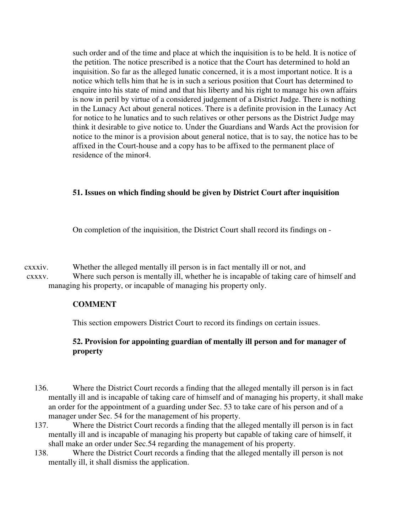such order and of the time and place at which the inquisition is to be held. It is notice of the petition. The notice prescribed is a notice that the Court has determined to hold an inquisition. So far as the alleged lunatic concerned, it is a most important notice. It is a notice which tells him that he is in such a serious position that Court has determined to enquire into his state of mind and that his liberty and his right to manage his own affairs is now in peril by virtue of a considered judgement of a District Judge. There is nothing in the Lunacy Act about general notices. There is a definite provision in the Lunacy Act for notice to he lunatics and to such relatives or other persons as the District Judge may think it desirable to give notice to. Under the Guardians and Wards Act the provision for notice to the minor is a provision about general notice, that is to say, the notice has to be affixed in the Court-house and a copy has to be affixed to the permanent place of residence of the minor4.

## **51. Issues on which finding should be given by District Court after inquisition**

On completion of the inquisition, the District Court shall record its findings on -

cxxxiv. Whether the alleged mentally ill person is in fact mentally ill or not, and cxxxv. Where such person is mentally ill, whether he is incapable of taking care of himself and

managing his property, or incapable of managing his property only.

## **COMMENT**

This section empowers District Court to record its findings on certain issues.

## **52. Provision for appointing guardian of mentally ill person and for manager of property**

- 136. Where the District Court records a finding that the alleged mentally ill person is in fact mentally ill and is incapable of taking care of himself and of managing his property, it shall make an order for the appointment of a guarding under Sec. 53 to take care of his person and of a manager under Sec. 54 for the management of his property.
- 137. Where the District Court records a finding that the alleged mentally ill person is in fact mentally ill and is incapable of managing his property but capable of taking care of himself, it shall make an order under Sec.54 regarding the management of his property.
- 138. Where the District Court records a finding that the alleged mentally ill person is not mentally ill, it shall dismiss the application.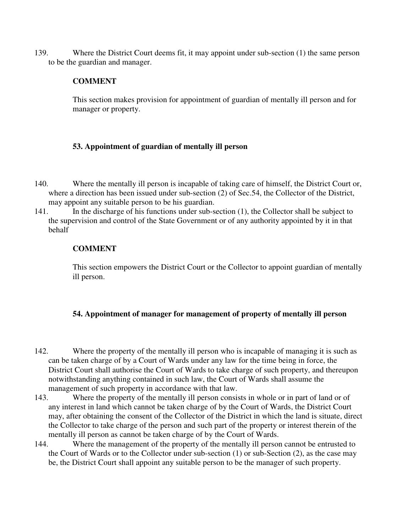139. Where the District Court deems fit, it may appoint under sub-section (1) the same person to be the guardian and manager.

## **COMMENT**

This section makes provision for appointment of guardian of mentally ill person and for manager or property.

## **53. Appointment of guardian of mentally ill person**

- 140. Where the mentally ill person is incapable of taking care of himself, the District Court or, where a direction has been issued under sub-section (2) of Sec.54, the Collector of the District, may appoint any suitable person to be his guardian.
- 141. In the discharge of his functions under sub-section (1), the Collector shall be subject to the supervision and control of the State Government or of any authority appointed by it in that behalf

## **COMMENT**

This section empowers the District Court or the Collector to appoint guardian of mentally ill person.

## **54. Appointment of manager for management of property of mentally ill person**

- 142. Where the property of the mentally ill person who is incapable of managing it is such as can be taken charge of by a Court of Wards under any law for the time being in force, the District Court shall authorise the Court of Wards to take charge of such property, and thereupon notwithstanding anything contained in such law, the Court of Wards shall assume the management of such property in accordance with that law.
- 143. Where the property of the mentally ill person consists in whole or in part of land or of any interest in land which cannot be taken charge of by the Court of Wards, the District Court may, after obtaining the consent of the Collector of the District in which the land is situate, direct the Collector to take charge of the person and such part of the property or interest therein of the mentally ill person as cannot be taken charge of by the Court of Wards.
- 144. Where the management of the property of the mentally ill person cannot be entrusted to the Court of Wards or to the Collector under sub-section (1) or sub-Section (2), as the case may be, the District Court shall appoint any suitable person to be the manager of such property.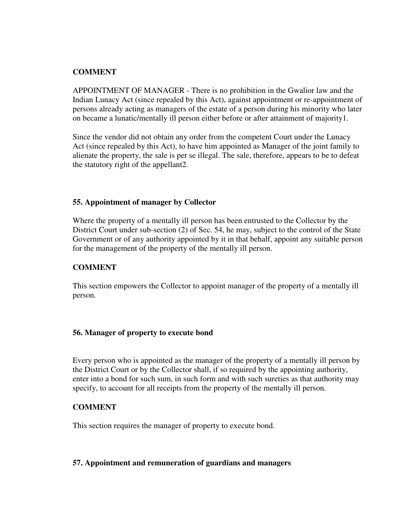## **COMMENT**

APPOINTMENT OF MANAGER - There is no prohibition in the Gwalior law and the Indian Lunacy Act (since repealed by this Act), against appointment or re-appointment of persons already acting as managers of the estate of a person during his minority who later on became a lunatic/mentally ill person either before or after attainment of majority1.

Since the vendor did not obtain any order from the competent Court under the Lunacy Act (since repealed by this Act), to have him appointed as Manager of the joint family to alienate the property, the sale is per se illegal. The sale, therefore, appears to be to defeat the statutory right of the appellant2.

## **55. Appointment of manager by Collector**

Where the property of a mentally ill person has been entrusted to the Collector by the District Court under sub-section (2) of Sec. 54, he may, subject to the control of the State Government or of any authority appointed by it in that behalf, appoint any suitable person for the management of the property of the mentally ill person.

## **COMMENT**

This section empowers the Collector to appoint manager of the property of a mentally ill person.

#### **56. Manager of property to execute bond**

Every person who is appointed as the manager of the property of a mentally ill person by the District Court or by the Collector shall, if so required by the appointing authority, enter into a bond for such sum, in such form and with such sureties as that authority may specify, to account for all receipts from the property of the mentally ill person.

#### **COMMENT**

This section requires the manager of property to execute bond.

## **57. Appointment and remuneration of guardians and managers**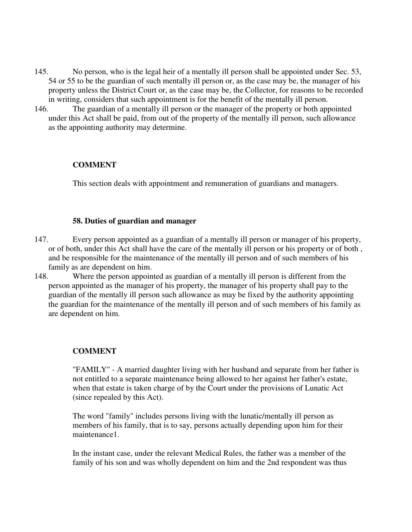- 145. No person, who is the legal heir of a mentally ill person shall be appointed under Sec. 53, 54 or 55 to be the guardian of such mentally ill person or, as the case may be, the manager of his property unless the District Court or, as the case may be, the Collector, for reasons to be recorded in writing, considers that such appointment is for the benefit of the mentally ill person.
- 146. The guardian of a mentally ill person or the manager of the property or both appointed under this Act shall be paid, from out of the property of the mentally ill person, such allowance as the appointing authority may determine.

## **COMMENT**

This section deals with appointment and remuneration of guardians and managers.

#### **58. Duties of guardian and manager**

- 147. Every person appointed as a guardian of a mentally ill person or manager of his property, or of both, under this Act shall have the care of the mentally ill person or his property or of both , and be responsible for the maintenance of the mentally ill person and of such members of his family as are dependent on him.
- 148. Where the person appointed as guardian of a mentally ill person is different from the person appointed as the manager of his property, the manager of his property shall pay to the guardian of the mentally ill person such allowance as may be fixed by the authority appointing the guardian for the maintenance of the mentally ill person and of such members of his family as are dependent on him.

#### **COMMENT**

"FAMILY" - A married daughter living with her husband and separate from her father is not entitled to a separate maintenance being allowed to her against her father's estate, when that estate is taken charge of by the Court under the provisions of Lunatic Act (since repealed by this Act).

The word "family" includes persons living with the lunatic/mentally ill person as members of his family, that is to say, persons actually depending upon him for their maintenance1.

In the instant case, under the relevant Medical Rules, the father was a member of the family of his son and was wholly dependent on him and the 2nd respondent was thus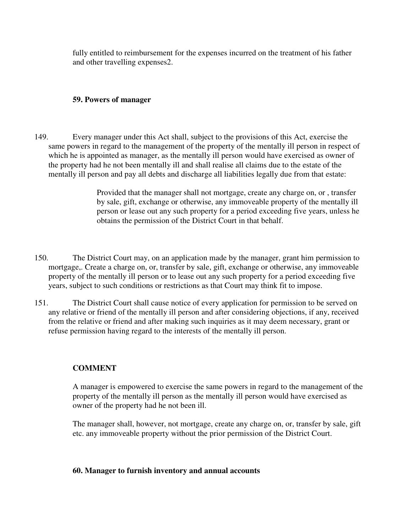fully entitled to reimbursement for the expenses incurred on the treatment of his father and other travelling expenses2.

## **59. Powers of manager**

149. Every manager under this Act shall, subject to the provisions of this Act, exercise the same powers in regard to the management of the property of the mentally ill person in respect of which he is appointed as manager, as the mentally ill person would have exercised as owner of the property had he not been mentally ill and shall realise all claims due to the estate of the mentally ill person and pay all debts and discharge all liabilities legally due from that estate:

> Provided that the manager shall not mortgage, create any charge on, or , transfer by sale, gift, exchange or otherwise, any immoveable property of the mentally ill person or lease out any such property for a period exceeding five years, unless he obtains the permission of the District Court in that behalf.

- 150. The District Court may, on an application made by the manager, grant him permission to mortgage,. Create a charge on, or, transfer by sale, gift, exchange or otherwise, any immoveable property of the mentally ill person or to lease out any such property for a period exceeding five years, subject to such conditions or restrictions as that Court may think fit to impose.
- 151. The District Court shall cause notice of every application for permission to be served on any relative or friend of the mentally ill person and after considering objections, if any, received from the relative or friend and after making such inquiries as it may deem necessary, grant or refuse permission having regard to the interests of the mentally ill person.

# **COMMENT**

A manager is empowered to exercise the same powers in regard to the management of the property of the mentally ill person as the mentally ill person would have exercised as owner of the property had he not been ill.

The manager shall, however, not mortgage, create any charge on, or, transfer by sale, gift etc. any immoveable property without the prior permission of the District Court.

## **60. Manager to furnish inventory and annual accounts**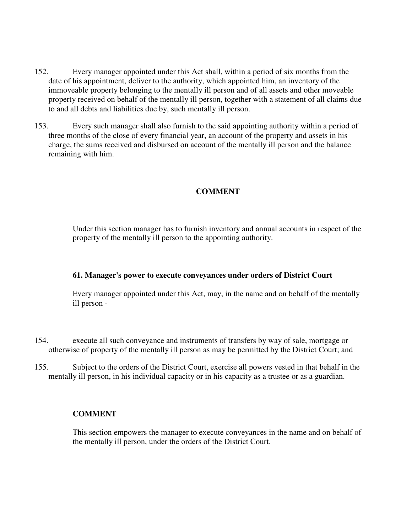- 152. Every manager appointed under this Act shall, within a period of six months from the date of his appointment, deliver to the authority, which appointed him, an inventory of the immoveable property belonging to the mentally ill person and of all assets and other moveable property received on behalf of the mentally ill person, together with a statement of all claims due to and all debts and liabilities due by, such mentally ill person.
- 153. Every such manager shall also furnish to the said appointing authority within a period of three months of the close of every financial year, an account of the property and assets in his charge, the sums received and disbursed on account of the mentally ill person and the balance remaining with him.

## **COMMENT**

Under this section manager has to furnish inventory and annual accounts in respect of the property of the mentally ill person to the appointing authority.

#### **61. Manager's power to execute conveyances under orders of District Court**

Every manager appointed under this Act, may, in the name and on behalf of the mentally ill person -

- 154. execute all such conveyance and instruments of transfers by way of sale, mortgage or otherwise of property of the mentally ill person as may be permitted by the District Court; and
- 155. Subject to the orders of the District Court, exercise all powers vested in that behalf in the mentally ill person, in his individual capacity or in his capacity as a trustee or as a guardian.

## **COMMENT**

This section empowers the manager to execute conveyances in the name and on behalf of the mentally ill person, under the orders of the District Court.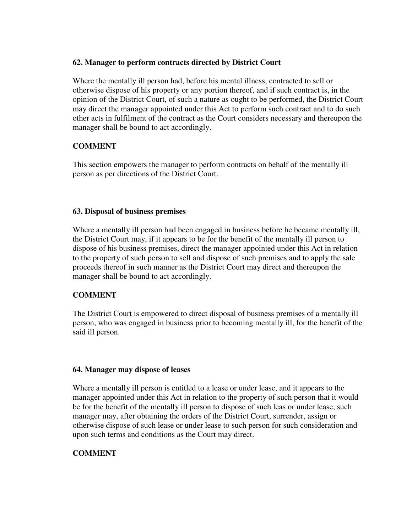## **62. Manager to perform contracts directed by District Court**

Where the mentally ill person had, before his mental illness, contracted to sell or otherwise dispose of his property or any portion thereof, and if such contract is, in the opinion of the District Court, of such a nature as ought to be performed, the District Court may direct the manager appointed under this Act to perform such contract and to do such other acts in fulfilment of the contract as the Court considers necessary and thereupon the manager shall be bound to act accordingly.

## **COMMENT**

This section empowers the manager to perform contracts on behalf of the mentally ill person as per directions of the District Court.

## **63. Disposal of business premises**

Where a mentally ill person had been engaged in business before he became mentally ill, the District Court may, if it appears to be for the benefit of the mentally ill person to dispose of his business premises, direct the manager appointed under this Act in relation to the property of such person to sell and dispose of such premises and to apply the sale proceeds thereof in such manner as the District Court may direct and thereupon the manager shall be bound to act accordingly.

## **COMMENT**

The District Court is empowered to direct disposal of business premises of a mentally ill person, who was engaged in business prior to becoming mentally ill, for the benefit of the said ill person.

## **64. Manager may dispose of leases**

Where a mentally ill person is entitled to a lease or under lease, and it appears to the manager appointed under this Act in relation to the property of such person that it would be for the benefit of the mentally ill person to dispose of such leas or under lease, such manager may, after obtaining the orders of the District Court, surrender, assign or otherwise dispose of such lease or under lease to such person for such consideration and upon such terms and conditions as the Court may direct.

# **COMMENT**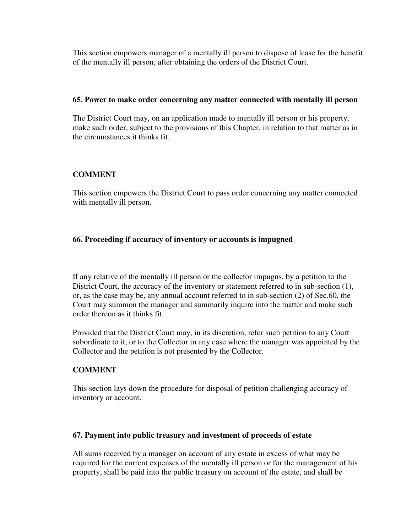This section empowers manager of a mentally ill person to dispose of lease for the benefit of the mentally ill person, after obtaining the orders of the District Court.

## **65. Power to make order concerning any matter connected with mentally ill person**

The District Court may, on an application made to mentally ill person or his property, make such order, subject to the provisions of this Chapter, in relation to that matter as in the circumstances it thinks fit.

## **COMMENT**

This section empowers the District Court to pass order concerning any matter connected with mentally ill person.

## **66. Proceeding if accuracy of inventory or accounts is impugned**

If any relative of the mentally ill person or the collector impugns, by a petition to the District Court, the accuracy of the inventory or statement referred to in sub-section (1), or, as the case may be, any annual account referred to in sub-section (2) of Sec.60, the Court may summon the manager and summarily inquire into the matter and make such order thereon as it thinks fit.

Provided that the District Court may, in its discretion, refer such petition to any Court subordinate to it, or to the Collector in any case where the manager was appointed by the Collector and the petition is not presented by the Collector.

# **COMMENT**

This section lays down the procedure for disposal of petition challenging accuracy of inventory or account.

## **67. Payment into public treasury and investment of proceeds of estate**

All sums received by a manager on account of any estate in excess of what may be required for the current expenses of the mentally ill person or for the management of his property, shall be paid into the public treasury on account of the estate, and shall be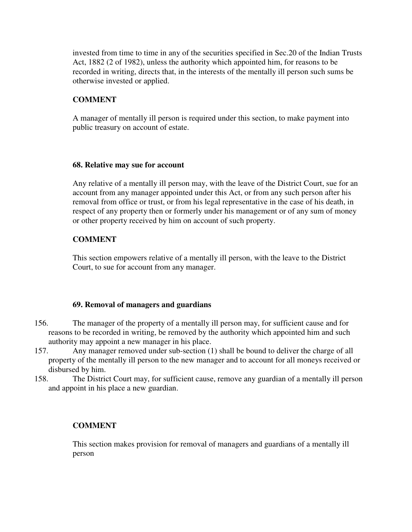invested from time to time in any of the securities specified in Sec.20 of the Indian Trusts Act, 1882 (2 of 1982), unless the authority which appointed him, for reasons to be recorded in writing, directs that, in the interests of the mentally ill person such sums be otherwise invested or applied.

# **COMMENT**

A manager of mentally ill person is required under this section, to make payment into public treasury on account of estate.

## **68. Relative may sue for account**

Any relative of a mentally ill person may, with the leave of the District Court, sue for an account from any manager appointed under this Act, or from any such person after his removal from office or trust, or from his legal representative in the case of his death, in respect of any property then or formerly under his management or of any sum of money or other property received by him on account of such property.

# **COMMENT**

This section empowers relative of a mentally ill person, with the leave to the District Court, to sue for account from any manager.

# **69. Removal of managers and guardians**

- 156. The manager of the property of a mentally ill person may, for sufficient cause and for reasons to be recorded in writing, be removed by the authority which appointed him and such authority may appoint a new manager in his place.
- 157. Any manager removed under sub-section (1) shall be bound to deliver the charge of all property of the mentally ill person to the new manager and to account for all moneys received or disbursed by him.
- 158. The District Court may, for sufficient cause, remove any guardian of a mentally ill person and appoint in his place a new guardian.

# **COMMENT**

This section makes provision for removal of managers and guardians of a mentally ill person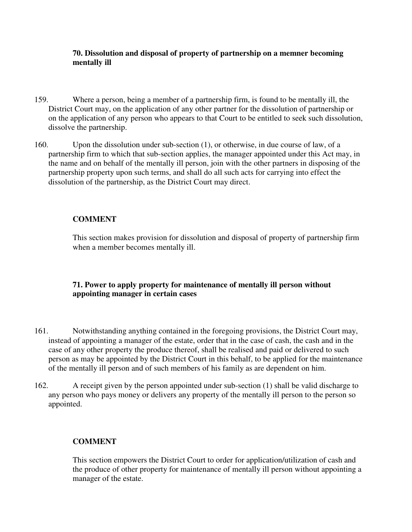## **70. Dissolution and disposal of property of partnership on a memner becoming mentally ill**

- 159. Where a person, being a member of a partnership firm, is found to be mentally ill, the District Court may, on the application of any other partner for the dissolution of partnership or on the application of any person who appears to that Court to be entitled to seek such dissolution, dissolve the partnership.
- 160. Upon the dissolution under sub-section (1), or otherwise, in due course of law, of a partnership firm to which that sub-section applies, the manager appointed under this Act may, in the name and on behalf of the mentally ill person, join with the other partners in disposing of the partnership property upon such terms, and shall do all such acts for carrying into effect the dissolution of the partnership, as the District Court may direct.

# **COMMENT**

This section makes provision for dissolution and disposal of property of partnership firm when a member becomes mentally ill.

# **71. Power to apply property for maintenance of mentally ill person without appointing manager in certain cases**

- 161. Notwithstanding anything contained in the foregoing provisions, the District Court may, instead of appointing a manager of the estate, order that in the case of cash, the cash and in the case of any other property the produce thereof, shall be realised and paid or delivered to such person as may be appointed by the District Court in this behalf, to be applied for the maintenance of the mentally ill person and of such members of his family as are dependent on him.
- 162. A receipt given by the person appointed under sub-section (1) shall be valid discharge to any person who pays money or delivers any property of the mentally ill person to the person so appointed.

# **COMMENT**

This section empowers the District Court to order for application/utilization of cash and the produce of other property for maintenance of mentally ill person without appointing a manager of the estate.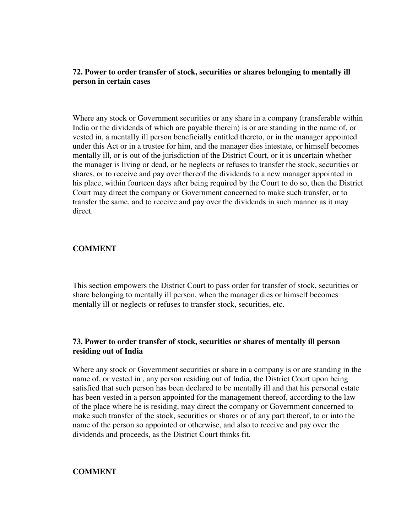## **72. Power to order transfer of stock, securities or shares belonging to mentally ill person in certain cases**

Where any stock or Government securities or any share in a company (transferable within India or the dividends of which are payable therein) is or are standing in the name of, or vested in, a mentally ill person beneficially entitled thereto, or in the manager appointed under this Act or in a trustee for him, and the manager dies intestate, or himself becomes mentally ill, or is out of the jurisdiction of the District Court, or it is uncertain whether the manager is living or dead, or he neglects or refuses to transfer the stock, securities or shares, or to receive and pay over thereof the dividends to a new manager appointed in his place, within fourteen days after being required by the Court to do so, then the District Court may direct the company or Government concerned to make such transfer, or to transfer the same, and to receive and pay over the dividends in such manner as it may direct.

## **COMMENT**

This section empowers the District Court to pass order for transfer of stock, securities or share belonging to mentally ill person, when the manager dies or himself becomes mentally ill or neglects or refuses to transfer stock, securities, etc.

## **73. Power to order transfer of stock, securities or shares of mentally ill person residing out of India**

Where any stock or Government securities or share in a company is or are standing in the name of, or vested in , any person residing out of India, the District Court upon being satisfied that such person has been declared to be mentally ill and that his personal estate has been vested in a person appointed for the management thereof, according to the law of the place where he is residing, may direct the company or Government concerned to make such transfer of the stock, securities or shares or of any part thereof, to or into the name of the person so appointed or otherwise, and also to receive and pay over the dividends and proceeds, as the District Court thinks fit.

#### **COMMENT**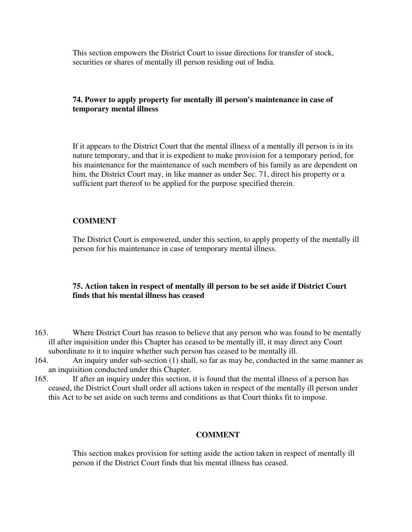This section empowers the District Court to issue directions for transfer of stock, securities or shares of mentally ill person residing out of India.

## **74. Power to apply property for mentally ill person's maintenance in case of temporary mental illness**

If it appears to the District Court that the mental illness of a mentally ill person is in its nature temporary, and that it is expedient to make provision for a temporary period, for his maintenance for the maintenance of such members of his family as are dependent on him, the District Court may, in like manner as under Sec. 71, direct his property or a sufficient part thereof to be applied for the purpose specified therein.

## **COMMENT**

The District Court is empowered, under this section, to apply property of the mentally ill person for his maintenance in case of temporary mental illness.

## **75. Action taken in respect of mentally ill person to be set aside if District Court finds that his mental illness has ceased**

- 163. Where District Court has reason to believe that any person who was found to be mentally ill after inquisition under this Chapter has ceased to be mentally ill, it may direct any Court subordinate to it to inquire whether such person has ceased to be mentally ill.
- 164. An inquiry under sub-section (1) shall, so far as may be, conducted in the same manner as an inquisition conducted under this Chapter.
- 165. If after an inquiry under this section, it is found that the mental illness of a person has ceased, the District Court shall order all actions taken in respect of the mentally ill person under this Act to be set aside on such terms and conditions as that Court thinks fit to impose.

## **COMMENT**

This section makes provision for setting aside the action taken in respect of mentally ill person if the District Court finds that his mental illness has ceased.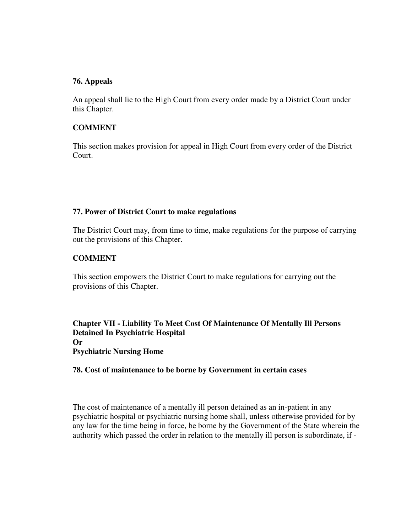## **76. Appeals**

An appeal shall lie to the High Court from every order made by a District Court under this Chapter.

#### **COMMENT**

This section makes provision for appeal in High Court from every order of the District Court.

#### **77. Power of District Court to make regulations**

The District Court may, from time to time, make regulations for the purpose of carrying out the provisions of this Chapter.

## **COMMENT**

This section empowers the District Court to make regulations for carrying out the provisions of this Chapter.

**Chapter VII - Liability To Meet Cost Of Maintenance Of Mentally Ill Persons Detained In Psychiatric Hospital Or Psychiatric Nursing Home** 

#### **78. Cost of maintenance to be borne by Government in certain cases**

The cost of maintenance of a mentally ill person detained as an in-patient in any psychiatric hospital or psychiatric nursing home shall, unless otherwise provided for by any law for the time being in force, be borne by the Government of the State wherein the authority which passed the order in relation to the mentally ill person is subordinate, if -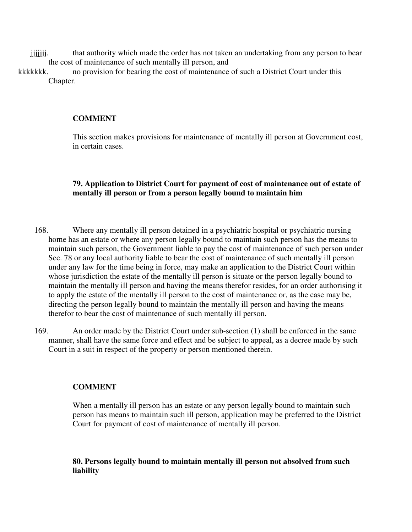jijjijiji. that authority which made the order has not taken an undertaking from any person to bear the cost of maintenance of such mentally ill person, and

kkkkkkk. no provision for bearing the cost of maintenance of such a District Court under this Chapter.

#### **COMMENT**

This section makes provisions for maintenance of mentally ill person at Government cost, in certain cases.

#### **79. Application to District Court for payment of cost of maintenance out of estate of mentally ill person or from a person legally bound to maintain him**

- 168. Where any mentally ill person detained in a psychiatric hospital or psychiatric nursing home has an estate or where any person legally bound to maintain such person has the means to maintain such person, the Government liable to pay the cost of maintenance of such person under Sec. 78 or any local authority liable to bear the cost of maintenance of such mentally ill person under any law for the time being in force, may make an application to the District Court within whose jurisdiction the estate of the mentally ill person is situate or the person legally bound to maintain the mentally ill person and having the means therefor resides, for an order authorising it to apply the estate of the mentally ill person to the cost of maintenance or, as the case may be, directing the person legally bound to maintain the mentally ill person and having the means therefor to bear the cost of maintenance of such mentally ill person.
- 169. An order made by the District Court under sub-section (1) shall be enforced in the same manner, shall have the same force and effect and be subject to appeal, as a decree made by such Court in a suit in respect of the property or person mentioned therein.

#### **COMMENT**

When a mentally ill person has an estate or any person legally bound to maintain such person has means to maintain such ill person, application may be preferred to the District Court for payment of cost of maintenance of mentally ill person.

## **80. Persons legally bound to maintain mentally ill person not absolved from such liability**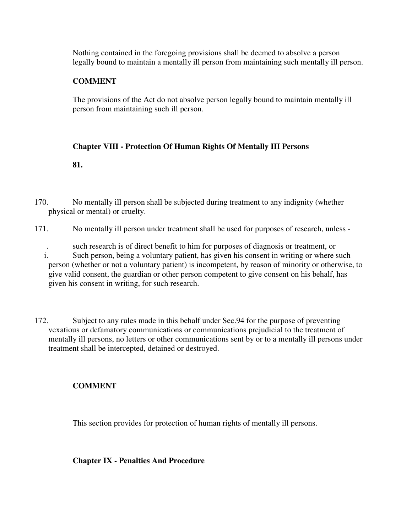Nothing contained in the foregoing provisions shall be deemed to absolve a person legally bound to maintain a mentally ill person from maintaining such mentally ill person.

# **COMMENT**

The provisions of the Act do not absolve person legally bound to maintain mentally ill person from maintaining such ill person.

## **Chapter VIII - Protection Of Human Rights Of Mentally III Persons**

**81.**

- 170. No mentally ill person shall be subjected during treatment to any indignity (whether physical or mental) or cruelty.
- 171. No mentally ill person under treatment shall be used for purposes of research, unless
	- . such research is of direct benefit to him for purposes of diagnosis or treatment, or i. Such person, being a voluntary patient, has given his consent in writing or where such person (whether or not a voluntary patient) is incompetent, by reason of minority or otherwise, to give valid consent, the guardian or other person competent to give consent on his behalf, has given his consent in writing, for such research.
- 172. Subject to any rules made in this behalf under Sec.94 for the purpose of preventing vexatious or defamatory communications or communications prejudicial to the treatment of mentally ill persons, no letters or other communications sent by or to a mentally ill persons under treatment shall be intercepted, detained or destroyed.

# **COMMENT**

This section provides for protection of human rights of mentally ill persons.

**Chapter IX - Penalties And Procedure**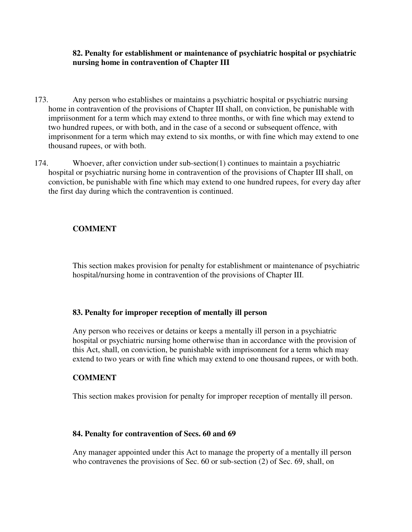## **82. Penalty for establishment or maintenance of psychiatric hospital or psychiatric nursing home in contravention of Chapter III**

- 173. Any person who establishes or maintains a psychiatric hospital or psychiatric nursing home in contravention of the provisions of Chapter III shall, on conviction, be punishable with impriisonment for a term which may extend to three months, or with fine which may extend to two hundred rupees, or with both, and in the case of a second or subsequent offence, with imprisonment for a term which may extend to six months, or with fine which may extend to one thousand rupees, or with both.
- 174. Whoever, after conviction under sub-section(1) continues to maintain a psychiatric hospital or psychiatric nursing home in contravention of the provisions of Chapter III shall, on conviction, be punishable with fine which may extend to one hundred rupees, for every day after the first day during which the contravention is continued.

# **COMMENT**

This section makes provision for penalty for establishment or maintenance of psychiatric hospital/nursing home in contravention of the provisions of Chapter III.

## **83. Penalty for improper reception of mentally ill person**

Any person who receives or detains or keeps a mentally ill person in a psychiatric hospital or psychiatric nursing home otherwise than in accordance with the provision of this Act, shall, on conviction, be punishable with imprisonment for a term which may extend to two years or with fine which may extend to one thousand rupees, or with both.

## **COMMENT**

This section makes provision for penalty for improper reception of mentally ill person.

#### **84. Penalty for contravention of Secs. 60 and 69**

Any manager appointed under this Act to manage the property of a mentally ill person who contravenes the provisions of Sec. 60 or sub-section (2) of Sec. 69, shall, on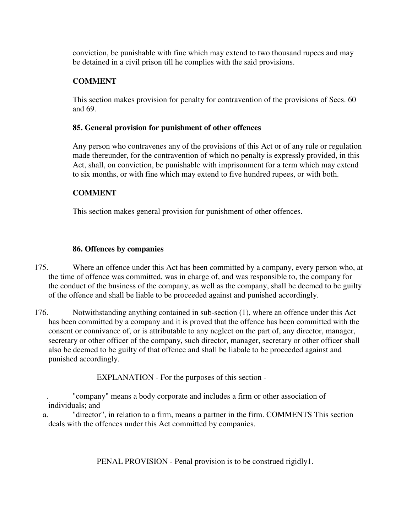conviction, be punishable with fine which may extend to two thousand rupees and may be detained in a civil prison till he complies with the said provisions.

# **COMMENT**

This section makes provision for penalty for contravention of the provisions of Secs. 60 and 69.

# **85. General provision for punishment of other offences**

Any person who contravenes any of the provisions of this Act or of any rule or regulation made thereunder, for the contravention of which no penalty is expressly provided, in this Act, shall, on conviction, be punishable with imprisonment for a term which may extend to six months, or with fine which may extend to five hundred rupees, or with both.

# **COMMENT**

This section makes general provision for punishment of other offences.

# **86. Offences by companies**

- 175. Where an offence under this Act has been committed by a company, every person who, at the time of offence was committed, was in charge of, and was responsible to, the company for the conduct of the business of the company, as well as the company, shall be deemed to be guilty of the offence and shall be liable to be proceeded against and punished accordingly.
- 176. Notwithstanding anything contained in sub-section (1), where an offence under this Act has been committed by a company and it is proved that the offence has been committed with the consent or connivance of, or is attributable to any neglect on the part of, any director, manager, secretary or other officer of the company, such director, manager, secretary or other officer shall also be deemed to be guilty of that offence and shall be liabale to be proceeded against and punished accordingly.

EXPLANATION - For the purposes of this section -

 . "company" means a body corporate and includes a firm or other association of individuals; and

a. "director", in relation to a firm, means a partner in the firm. COMMENTS This section deals with the offences under this Act committed by companies.

PENAL PROVISION - Penal provision is to be construed rigidly1.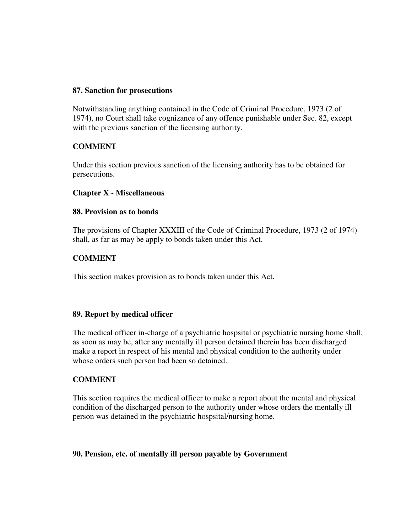#### **87. Sanction for prosecutions**

Notwithstanding anything contained in the Code of Criminal Procedure, 1973 (2 of 1974), no Court shall take cognizance of any offence punishable under Sec. 82, except with the previous sanction of the licensing authority.

## **COMMENT**

Under this section previous sanction of the licensing authority has to be obtained for persecutions.

## **Chapter X - Miscellaneous**

## **88. Provision as to bonds**

The provisions of Chapter XXXIII of the Code of Criminal Procedure, 1973 (2 of 1974) shall, as far as may be apply to bonds taken under this Act.

## **COMMENT**

This section makes provision as to bonds taken under this Act.

## **89. Report by medical officer**

The medical officer in-charge of a psychiatric hospsital or psychiatric nursing home shall, as soon as may be, after any mentally ill person detained therein has been discharged make a report in respect of his mental and physical condition to the authority under whose orders such person had been so detained.

## **COMMENT**

This section requires the medical officer to make a report about the mental and physical condition of the discharged person to the authority under whose orders the mentally ill person was detained in the psychiatric hospsital/nursing home.

## **90. Pension, etc. of mentally ill person payable by Government**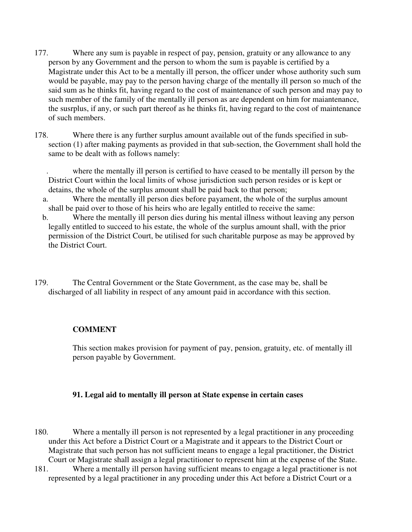- 177. Where any sum is payable in respect of pay, pension, gratuity or any allowance to any person by any Government and the person to whom the sum is payable is certified by a Magistrate under this Act to be a mentally ill person, the officer under whose authority such sum would be payable, may pay to the person having charge of the mentally ill person so much of the said sum as he thinks fit, having regard to the cost of maintenance of such person and may pay to such member of the family of the mentally ill person as are dependent on him for maiantenance, the susrplus, if any, or such part thereof as he thinks fit, having regard to the cost of maintenance of such members.
- 178. Where there is any further surplus amount available out of the funds specified in subsection (1) after making payments as provided in that sub-section, the Government shall hold the same to be dealt with as follows namely:

 . where the mentally ill person is certified to have ceased to be mentally ill person by the District Court within the local limits of whose jurisdiction such person resides or is kept or detains, the whole of the surplus amount shall be paid back to that person;

- a. Where the mentally ill person dies before payament, the whole of the surplus amount shall be paid over to those of his heirs who are legally entitled to receive the same:
- b. Where the mentally ill person dies during his mental illness without leaving any person legally entitled to succeed to his estate, the whole of the surplus amount shall, with the prior permission of the District Court, be utilised for such charitable purpose as may be approved by the District Court.
- 179. The Central Government or the State Government, as the case may be, shall be discharged of all liability in respect of any amount paid in accordance with this section.

## **COMMENT**

This section makes provision for payment of pay, pension, gratuity, etc. of mentally ill person payable by Government.

## **91. Legal aid to mentally ill person at State expense in certain cases**

- 180. Where a mentally ill person is not represented by a legal practitioner in any proceeding under this Act before a District Court or a Magistrate and it appears to the District Court or Magistrate that such person has not sufficient means to engage a legal practitioner, the District Court or Magistrate shall assign a legal practitioner to represent him at the expense of the State.
- 181. Where a mentally ill person having sufficient means to engage a legal practitioner is not represented by a legal practitioner in any proceding under this Act before a District Court or a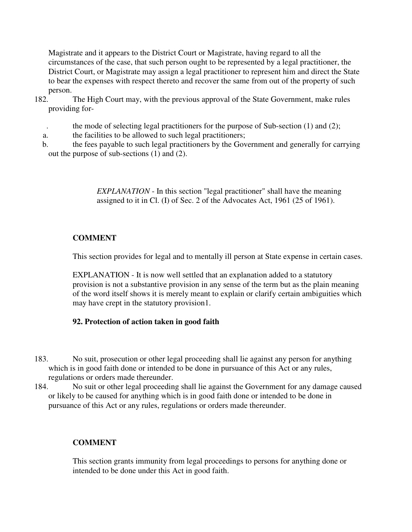Magistrate and it appears to the District Court or Magistrate, having regard to all the circumstances of the case, that such person ought to be represented by a legal practitioner, the District Court, or Magistrate may assign a legal practitioner to represent him and direct the State to bear the expenses with respect thereto and recover the same from out of the property of such person.

- 182. The High Court may, with the previous approval of the State Government, make rules providing for
	- the mode of selecting legal practitioners for the purpose of Sub-section  $(1)$  and  $(2)$ ;
	- a. the facilities to be allowed to such legal practitioners;
	- b. the fees payable to such legal practitioners by the Government and generally for carrying out the purpose of sub-sections (1) and (2).

*EXPLANATION* - In this section "legal practitioner" shall have the meaning assigned to it in Cl. (I) of Sec. 2 of the Advocates Act, 1961 (25 of 1961).

# **COMMENT**

This section provides for legal and to mentally ill person at State expense in certain cases.

EXPLANATION - It is now well settled that an explanation added to a statutory provision is not a substantive provision in any sense of the term but as the plain meaning of the word itself shows it is merely meant to explain or clarify certain ambiguities which may have crept in the statutory provision1.

# **92. Protection of action taken in good faith**

- 183. No suit, prosecution or other legal proceeding shall lie against any person for anything which is in good faith done or intended to be done in pursuance of this Act or any rules, regulations or orders made thereunder.
- 184. No suit or other legal proceeding shall lie against the Government for any damage caused or likely to be caused for anything which is in good faith done or intended to be done in pursuance of this Act or any rules, regulations or orders made thereunder.

# **COMMENT**

This section grants immunity from legal proceedings to persons for anything done or intended to be done under this Act in good faith.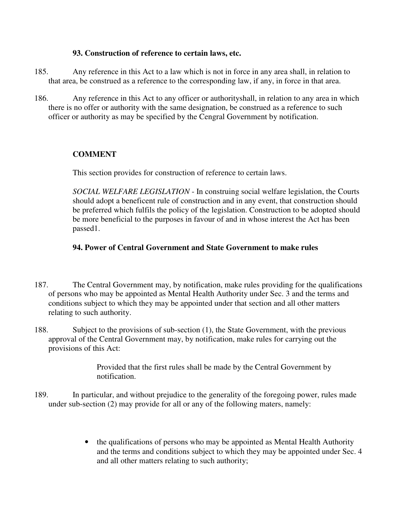## **93. Construction of reference to certain laws, etc.**

- 185. Any reference in this Act to a law which is not in force in any area shall, in relation to that area, be construed as a reference to the corresponding law, if any, in force in that area.
- 186. Any reference in this Act to any officer or authorityshall, in relation to any area in which there is no offer or authority with the same designation, be construed as a reference to such officer or authority as may be specified by the Cengral Government by notification.

# **COMMENT**

This section provides for construction of reference to certain laws.

*SOCIAL WELFARE LEGISLATION* - In construing social welfare legislation, the Courts should adopt a beneficent rule of construction and in any event, that construction should be preferred which fulfils the policy of the legislation. Construction to be adopted should be more beneficial to the purposes in favour of and in whose interest the Act has been passed1.

## **94. Power of Central Government and State Government to make rules**

- 187. The Central Government may, by notification, make rules providing for the qualifications of persons who may be appointed as Mental Health Authority under Sec. 3 and the terms and conditions subject to which they may be appointed under that section and all other matters relating to such authority.
- 188. Subject to the provisions of sub-section (1), the State Government, with the previous approval of the Central Government may, by notification, make rules for carrying out the provisions of this Act:

Provided that the first rules shall be made by the Central Government by notification.

- 189. In particular, and without prejudice to the generality of the foregoing power, rules made under sub-section (2) may provide for all or any of the following maters, namely:
	- the qualifications of persons who may be appointed as Mental Health Authority and the terms and conditions subject to which they may be appointed under Sec. 4 and all other matters relating to such authority;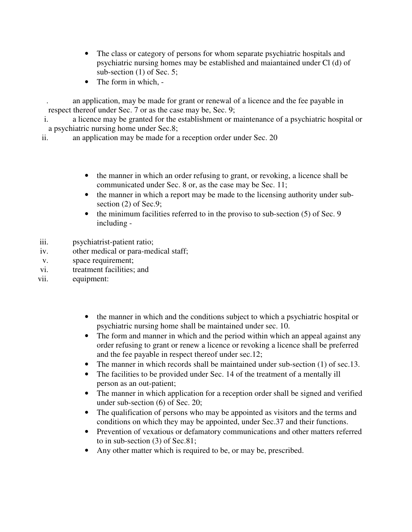- The class or category of persons for whom separate psychiatric hospitals and psychiatric nursing homes may be established and maiantained under Cl (d) of sub-section (1) of Sec. 5;
- The form in which. -

 . an application, may be made for grant or renewal of a licence and the fee payable in respect thereof under Sec. 7 or as the case may be, Sec. 9;

i. a licence may be granted for the establishment or maintenance of a psychiatric hospital or a psychiatric nursing home under Sec.8;

ii. an application may be made for a reception order under Sec. 20

- the manner in which an order refusing to grant, or revoking, a licence shall be communicated under Sec. 8 or, as the case may be Sec. 11;
- the manner in which a report may be made to the licensing authority under subsection (2) of Sec.9;
- the minimum facilities referred to in the proviso to sub-section (5) of Sec. 9 including -
- iii. psychiatrist-patient ratio;
- iv. other medical or para-medical staff;
- v. space requirement;
- vi. treatment facilities; and
- vii. equipment:
	- the manner in which and the conditions subject to which a psychiatric hospital or psychiatric nursing home shall be maintained under sec. 10.
	- The form and manner in which and the period within which an appeal against any order refusing to grant or renew a licence or revoking a licence shall be preferred and the fee payable in respect thereof under sec.12;
	- The manner in which records shall be maintained under sub-section (1) of sec.13.
	- The facilities to be provided under Sec. 14 of the treatment of a mentally ill person as an out-patient;
	- The manner in which application for a reception order shall be signed and verified under sub-section (6) of Sec. 20;
	- The qualification of persons who may be appointed as visitors and the terms and conditions on which they may be appointed, under Sec.37 and their functions.
	- Prevention of vexatious or defamatory communications and other matters referred to in sub-section (3) of Sec.81;
	- Any other matter which is required to be, or may be, prescribed.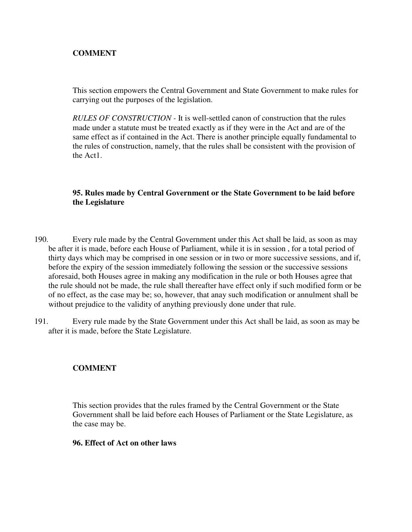# **COMMENT**

This section empowers the Central Government and State Government to make rules for carrying out the purposes of the legislation.

*RULES OF CONSTRUCTION -* It is well-settled canon of construction that the rules made under a statute must be treated exactly as if they were in the Act and are of the same effect as if contained in the Act. There is another principle equally fundamental to the rules of construction, namely, that the rules shall be consistent with the provision of the Act1.

# **95. Rules made by Central Government or the State Government to be laid before the Legislature**

- 190. Every rule made by the Central Government under this Act shall be laid, as soon as may be after it is made, before each House of Parliament, while it is in session , for a total period of thirty days which may be comprised in one session or in two or more successive sessions, and if, before the expiry of the session immediately following the session or the successive sessions aforesaid, both Houses agree in making any modification in the rule or both Houses agree that the rule should not be made, the rule shall thereafter have effect only if such modified form or be of no effect, as the case may be; so, however, that anay such modification or annulment shall be without prejudice to the validity of anything previously done under that rule.
- 191. Every rule made by the State Government under this Act shall be laid, as soon as may be after it is made, before the State Legislature.

# **COMMENT**

This section provides that the rules framed by the Central Government or the State Government shall be laid before each Houses of Parliament or the State Legislature, as the case may be.

## **96. Effect of Act on other laws**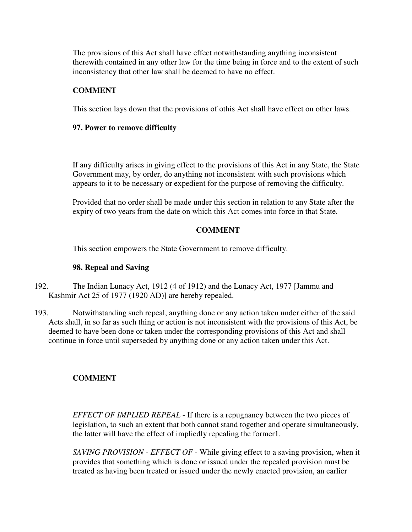The provisions of this Act shall have effect notwithstanding anything inconsistent therewith contained in any other law for the time being in force and to the extent of such inconsistency that other law shall be deemed to have no effect.

# **COMMENT**

This section lays down that the provisions of othis Act shall have effect on other laws.

#### **97. Power to remove difficulty**

If any difficulty arises in giving effect to the provisions of this Act in any State, the State Government may, by order, do anything not inconsistent with such provisions which appears to it to be necessary or expedient for the purpose of removing the difficulty.

Provided that no order shall be made under this section in relation to any State after the expiry of two years from the date on which this Act comes into force in that State.

## **COMMENT**

This section empowers the State Government to remove difficulty.

#### **98. Repeal and Saving**

- 192. The Indian Lunacy Act, 1912 (4 of 1912) and the Lunacy Act, 1977 [Jammu and Kashmir Act 25 of 1977 (1920 AD)] are hereby repealed.
- 193. Notwithstanding such repeal, anything done or any action taken under either of the said Acts shall, in so far as such thing or action is not inconsistent with the provisions of this Act, be deemed to have been done or taken under the corresponding provisions of this Act and shall continue in force until superseded by anything done or any action taken under this Act.

## **COMMENT**

*EFFECT OF IMPLIED REPEAL* - If there is a repugnancy between the two pieces of legislation, to such an extent that both cannot stand together and operate simultaneously, the latter will have the effect of impliedly repealing the former1.

*SAVING PROVISION - EFFECT OF* - While giving effect to a saving provision, when it provides that something which is done or issued under the repealed provision must be treated as having been treated or issued under the newly enacted provision, an earlier